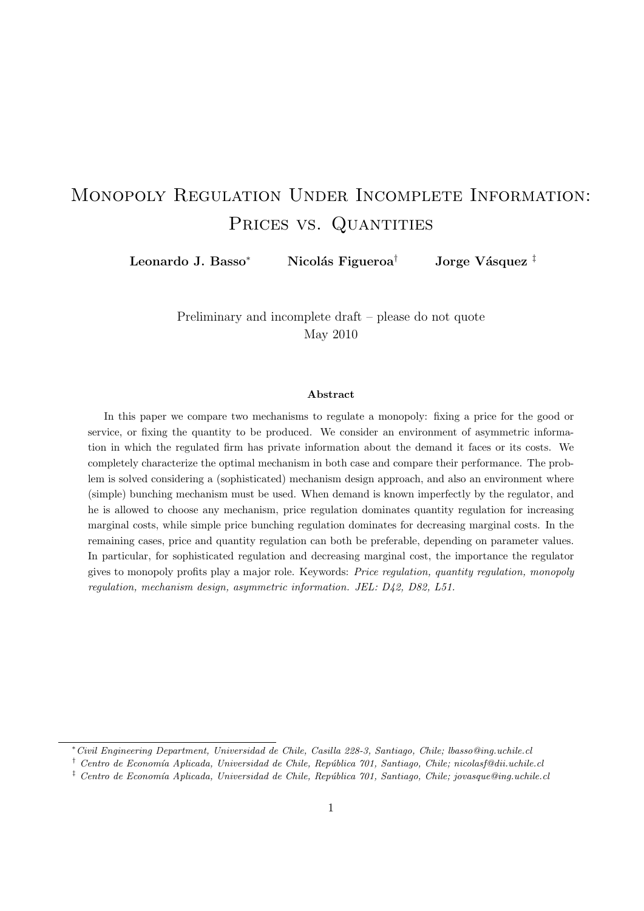# Monopoly Regulation Under Incomplete Information: PRICES VS. QUANTITIES

Leonardo J. Basso<sup>∗</sup> Nicolás Figueroa<sup>†</sup> Jorge Vásquez <sup>‡</sup>

Preliminary and incomplete draft – please do not quote May 2010

#### Abstract

In this paper we compare two mechanisms to regulate a monopoly: fixing a price for the good or service, or fixing the quantity to be produced. We consider an environment of asymmetric information in which the regulated firm has private information about the demand it faces or its costs. We completely characterize the optimal mechanism in both case and compare their performance. The problem is solved considering a (sophisticated) mechanism design approach, and also an environment where (simple) bunching mechanism must be used. When demand is known imperfectly by the regulator, and he is allowed to choose any mechanism, price regulation dominates quantity regulation for increasing marginal costs, while simple price bunching regulation dominates for decreasing marginal costs. In the remaining cases, price and quantity regulation can both be preferable, depending on parameter values. In particular, for sophisticated regulation and decreasing marginal cost, the importance the regulator gives to monopoly profits play a major role. Keywords: Price regulation, quantity regulation, monopoly regulation, mechanism design, asymmetric information. JEL: D42, D82, L51.

<sup>∗</sup>Civil Engineering Department, Universidad de Chile, Casilla 228-3, Santiago, Chile; lbasso@ing.uchile.cl

 $\dagger$  Centro de Economía Aplicada, Universidad de Chile, República 701, Santiago, Chile; nicolasf@dii.uchile.cl

 $\frac{1}{2}$  Centro de Economía Aplicada, Universidad de Chile, República 701, Santiago, Chile; jovasque@ing.uchile.cl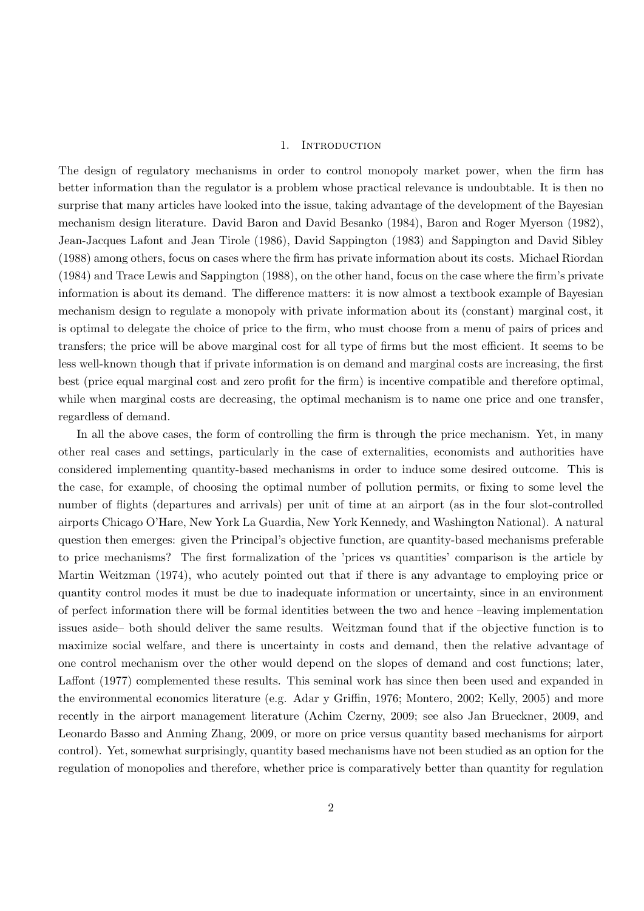#### 1. INTRODUCTION

The design of regulatory mechanisms in order to control monopoly market power, when the firm has better information than the regulator is a problem whose practical relevance is undoubtable. It is then no surprise that many articles have looked into the issue, taking advantage of the development of the Bayesian mechanism design literature. David Baron and David Besanko (1984), Baron and Roger Myerson (1982), Jean-Jacques Lafont and Jean Tirole (1986), David Sappington (1983) and Sappington and David Sibley (1988) among others, focus on cases where the firm has private information about its costs. Michael Riordan (1984) and Trace Lewis and Sappington (1988), on the other hand, focus on the case where the firm's private information is about its demand. The difference matters: it is now almost a textbook example of Bayesian mechanism design to regulate a monopoly with private information about its (constant) marginal cost, it is optimal to delegate the choice of price to the firm, who must choose from a menu of pairs of prices and transfers; the price will be above marginal cost for all type of firms but the most efficient. It seems to be less well-known though that if private information is on demand and marginal costs are increasing, the first best (price equal marginal cost and zero profit for the firm) is incentive compatible and therefore optimal, while when marginal costs are decreasing, the optimal mechanism is to name one price and one transfer, regardless of demand.

In all the above cases, the form of controlling the firm is through the price mechanism. Yet, in many other real cases and settings, particularly in the case of externalities, economists and authorities have considered implementing quantity-based mechanisms in order to induce some desired outcome. This is the case, for example, of choosing the optimal number of pollution permits, or fixing to some level the number of flights (departures and arrivals) per unit of time at an airport (as in the four slot-controlled airports Chicago O'Hare, New York La Guardia, New York Kennedy, and Washington National). A natural question then emerges: given the Principal's objective function, are quantity-based mechanisms preferable to price mechanisms? The first formalization of the 'prices vs quantities' comparison is the article by Martin Weitzman (1974), who acutely pointed out that if there is any advantage to employing price or quantity control modes it must be due to inadequate information or uncertainty, since in an environment of perfect information there will be formal identities between the two and hence –leaving implementation issues aside– both should deliver the same results. Weitzman found that if the objective function is to maximize social welfare, and there is uncertainty in costs and demand, then the relative advantage of one control mechanism over the other would depend on the slopes of demand and cost functions; later, Laffont (1977) complemented these results. This seminal work has since then been used and expanded in the environmental economics literature (e.g. Adar y Griffin, 1976; Montero, 2002; Kelly, 2005) and more recently in the airport management literature (Achim Czerny, 2009; see also Jan Brueckner, 2009, and Leonardo Basso and Anming Zhang, 2009, or more on price versus quantity based mechanisms for airport control). Yet, somewhat surprisingly, quantity based mechanisms have not been studied as an option for the regulation of monopolies and therefore, whether price is comparatively better than quantity for regulation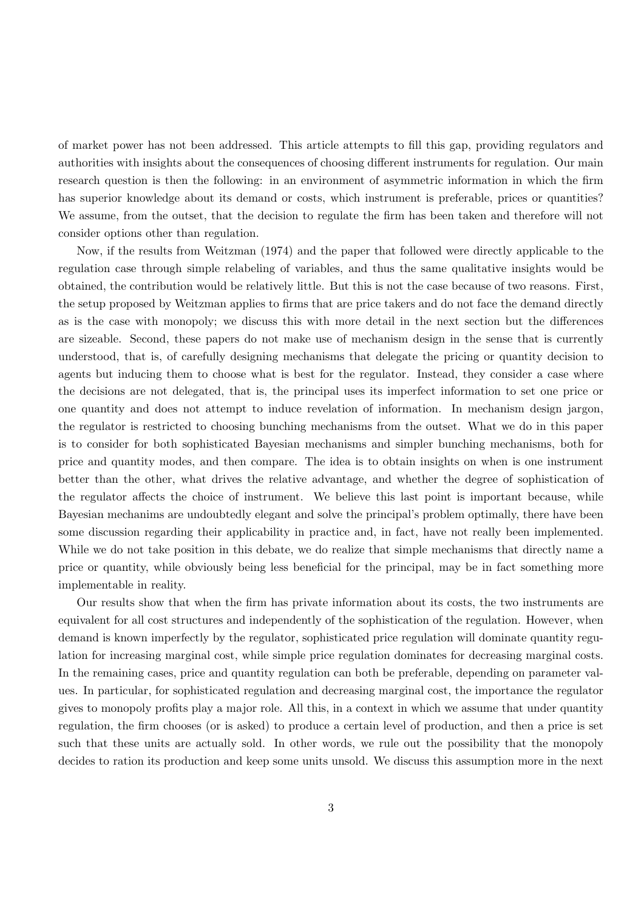of market power has not been addressed. This article attempts to fill this gap, providing regulators and authorities with insights about the consequences of choosing different instruments for regulation. Our main research question is then the following: in an environment of asymmetric information in which the firm has superior knowledge about its demand or costs, which instrument is preferable, prices or quantities? We assume, from the outset, that the decision to regulate the firm has been taken and therefore will not consider options other than regulation.

Now, if the results from Weitzman (1974) and the paper that followed were directly applicable to the regulation case through simple relabeling of variables, and thus the same qualitative insights would be obtained, the contribution would be relatively little. But this is not the case because of two reasons. First, the setup proposed by Weitzman applies to firms that are price takers and do not face the demand directly as is the case with monopoly; we discuss this with more detail in the next section but the differences are sizeable. Second, these papers do not make use of mechanism design in the sense that is currently understood, that is, of carefully designing mechanisms that delegate the pricing or quantity decision to agents but inducing them to choose what is best for the regulator. Instead, they consider a case where the decisions are not delegated, that is, the principal uses its imperfect information to set one price or one quantity and does not attempt to induce revelation of information. In mechanism design jargon, the regulator is restricted to choosing bunching mechanisms from the outset. What we do in this paper is to consider for both sophisticated Bayesian mechanisms and simpler bunching mechanisms, both for price and quantity modes, and then compare. The idea is to obtain insights on when is one instrument better than the other, what drives the relative advantage, and whether the degree of sophistication of the regulator affects the choice of instrument. We believe this last point is important because, while Bayesian mechanims are undoubtedly elegant and solve the principal's problem optimally, there have been some discussion regarding their applicability in practice and, in fact, have not really been implemented. While we do not take position in this debate, we do realize that simple mechanisms that directly name a price or quantity, while obviously being less beneficial for the principal, may be in fact something more implementable in reality.

Our results show that when the firm has private information about its costs, the two instruments are equivalent for all cost structures and independently of the sophistication of the regulation. However, when demand is known imperfectly by the regulator, sophisticated price regulation will dominate quantity regulation for increasing marginal cost, while simple price regulation dominates for decreasing marginal costs. In the remaining cases, price and quantity regulation can both be preferable, depending on parameter values. In particular, for sophisticated regulation and decreasing marginal cost, the importance the regulator gives to monopoly profits play a major role. All this, in a context in which we assume that under quantity regulation, the firm chooses (or is asked) to produce a certain level of production, and then a price is set such that these units are actually sold. In other words, we rule out the possibility that the monopoly decides to ration its production and keep some units unsold. We discuss this assumption more in the next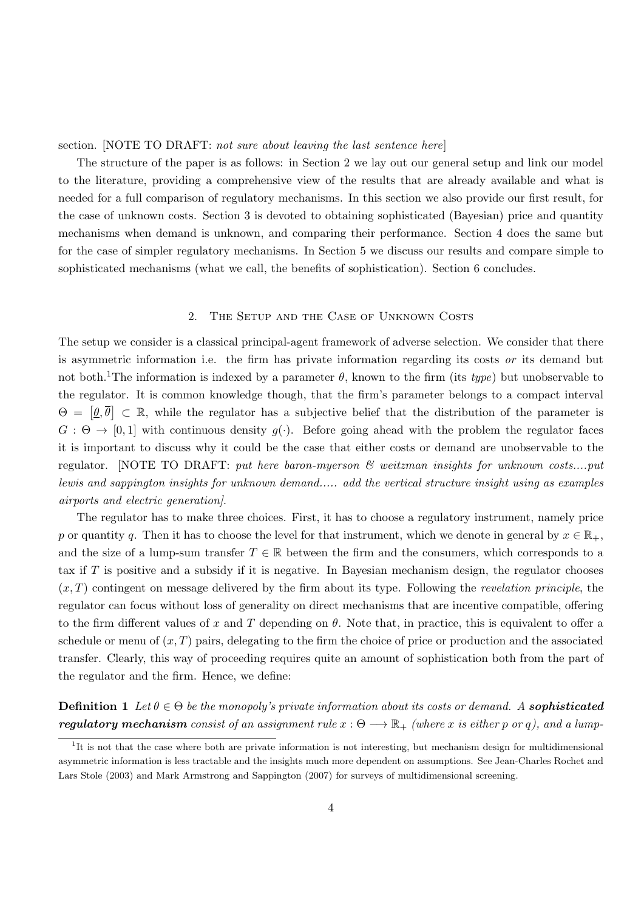section. [NOTE TO DRAFT: not sure about leaving the last sentence here]

The structure of the paper is as follows: in Section 2 we lay out our general setup and link our model to the literature, providing a comprehensive view of the results that are already available and what is needed for a full comparison of regulatory mechanisms. In this section we also provide our first result, for the case of unknown costs. Section 3 is devoted to obtaining sophisticated (Bayesian) price and quantity mechanisms when demand is unknown, and comparing their performance. Section 4 does the same but for the case of simpler regulatory mechanisms. In Section 5 we discuss our results and compare simple to sophisticated mechanisms (what we call, the benefits of sophistication). Section 6 concludes.

### 2. The Setup and the Case of Unknown Costs

The setup we consider is a classical principal-agent framework of adverse selection. We consider that there is asymmetric information i.e. the firm has private information regarding its costs or its demand but not both.<sup>1</sup>The information is indexed by a parameter  $\theta$ , known to the firm (its type) but unobservable to the regulator. It is common knowledge though, that the firm's parameter belongs to a compact interval  $\Theta = \left[\underline{\theta}, \overline{\theta}\right] \subset \mathbb{R}$ , while the regulator has a subjective belief that the distribution of the parameter is  $G : \Theta \to [0, 1]$  with continuous density  $g(\cdot)$ . Before going ahead with the problem the regulator faces it is important to discuss why it could be the case that either costs or demand are unobservable to the regulator. [NOTE TO DRAFT: put here baron-myerson & weitzman insights for unknown costs....put lewis and sappington insights for unknown demand..... add the vertical structure insight using as examples airports and electric generation].

The regulator has to make three choices. First, it has to choose a regulatory instrument, namely price p or quantity q. Then it has to choose the level for that instrument, which we denote in general by  $x \in \mathbb{R}_+$ , and the size of a lump-sum transfer  $T \in \mathbb{R}$  between the firm and the consumers, which corresponds to a tax if  $T$  is positive and a subsidy if it is negative. In Bayesian mechanism design, the regulator chooses  $(x, T)$  contingent on message delivered by the firm about its type. Following the *revelation principle*, the regulator can focus without loss of generality on direct mechanisms that are incentive compatible, offering to the firm different values of x and T depending on  $\theta$ . Note that, in practice, this is equivalent to offer a schedule or menu of  $(x, T)$  pairs, delegating to the firm the choice of price or production and the associated transfer. Clearly, this way of proceeding requires quite an amount of sophistication both from the part of the regulator and the firm. Hence, we define:

**Definition 1** Let  $\theta \in \Theta$  be the monopoly's private information about its costs or demand. A **sophisticated regulatory mechanism** consist of an assignment rule  $x : \Theta \longrightarrow \mathbb{R}_+$  (where x is either p or q), and a lump-

<sup>&</sup>lt;sup>1</sup>It is not that the case where both are private information is not interesting, but mechanism design for multidimensional asymmetric information is less tractable and the insights much more dependent on assumptions. See Jean-Charles Rochet and Lars Stole (2003) and Mark Armstrong and Sappington (2007) for surveys of multidimensional screening.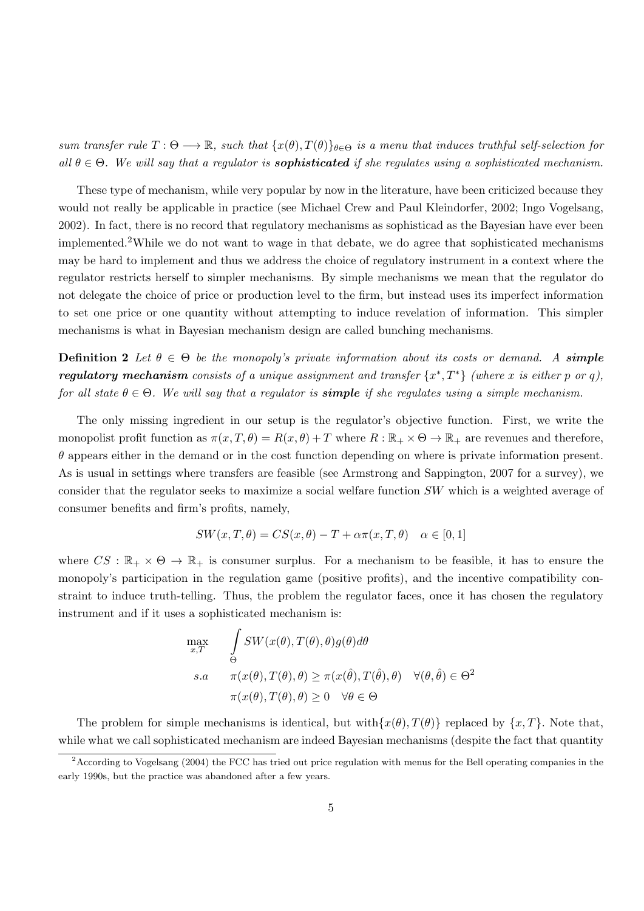sum transfer rule  $T : \Theta \longrightarrow \mathbb{R}$ , such that  $\{x(\theta), T(\theta)\}_{\theta \in \Theta}$  is a menu that induces truthful self-selection for all  $\theta \in \Theta$ . We will say that a regulator is **sophisticated** if she regulates using a sophisticated mechanism.

These type of mechanism, while very popular by now in the literature, have been criticized because they would not really be applicable in practice (see Michael Crew and Paul Kleindorfer, 2002; Ingo Vogelsang, 2002). In fact, there is no record that regulatory mechanisms as sophisticad as the Bayesian have ever been implemented.2While we do not want to wage in that debate, we do agree that sophisticated mechanisms may be hard to implement and thus we address the choice of regulatory instrument in a context where the regulator restricts herself to simpler mechanisms. By simple mechanisms we mean that the regulator do not delegate the choice of price or production level to the firm, but instead uses its imperfect information to set one price or one quantity without attempting to induce revelation of information. This simpler mechanisms is what in Bayesian mechanism design are called bunching mechanisms.

**Definition 2** Let  $\theta \in \Theta$  be the monopoly's private information about its costs or demand. A simple regulatory mechanism consists of a unique assignment and transfer  $\{x^*,T^*\}$  (where x is either p or q), for all state  $\theta \in \Theta$ . We will say that a regulator is **simple** if she regulates using a simple mechanism.

The only missing ingredient in our setup is the regulator's objective function. First, we write the monopolist profit function as  $\pi(x,T,\theta) = R(x,\theta) + T$  where  $R : \mathbb{R}_+ \times \Theta \to \mathbb{R}_+$  are revenues and therefore,  $\theta$  appears either in the demand or in the cost function depending on where is private information present. As is usual in settings where transfers are feasible (see Armstrong and Sappington, 2007 for a survey), we consider that the regulator seeks to maximize a social welfare function SW which is a weighted average of consumer benefits and firm's profits, namely,

$$
SW(x, T, \theta) = CS(x, \theta) - T + \alpha \pi(x, T, \theta) \quad \alpha \in [0, 1]
$$

where  $CS : \mathbb{R}_+ \times \Theta \to \mathbb{R}_+$  is consumer surplus. For a mechanism to be feasible, it has to ensure the monopoly's participation in the regulation game (positive profits), and the incentive compatibility constraint to induce truth-telling. Thus, the problem the regulator faces, once it has chosen the regulatory instrument and if it uses a sophisticated mechanism is:

$$
\max_{x,T} \quad \int_{\Theta} SW(x(\theta), T(\theta), \theta) g(\theta) d\theta
$$
  
s.a 
$$
\pi(x(\theta), T(\theta), \theta) \ge \pi(x(\hat{\theta}), T(\hat{\theta}), \theta) \quad \forall (\theta, \hat{\theta}) \in \Theta^2
$$
  

$$
\pi(x(\theta), T(\theta), \theta) \ge 0 \quad \forall \theta \in \Theta
$$

The problem for simple mechanisms is identical, but with $\{x(\theta), T(\theta)\}\$  replaced by  $\{x, T\}\$ . Note that, while what we call sophisticated mechanism are indeed Bayesian mechanisms (despite the fact that quantity

 $2$ According to Vogelsang (2004) the FCC has tried out price regulation with menus for the Bell operating companies in the early 1990s, but the practice was abandoned after a few years.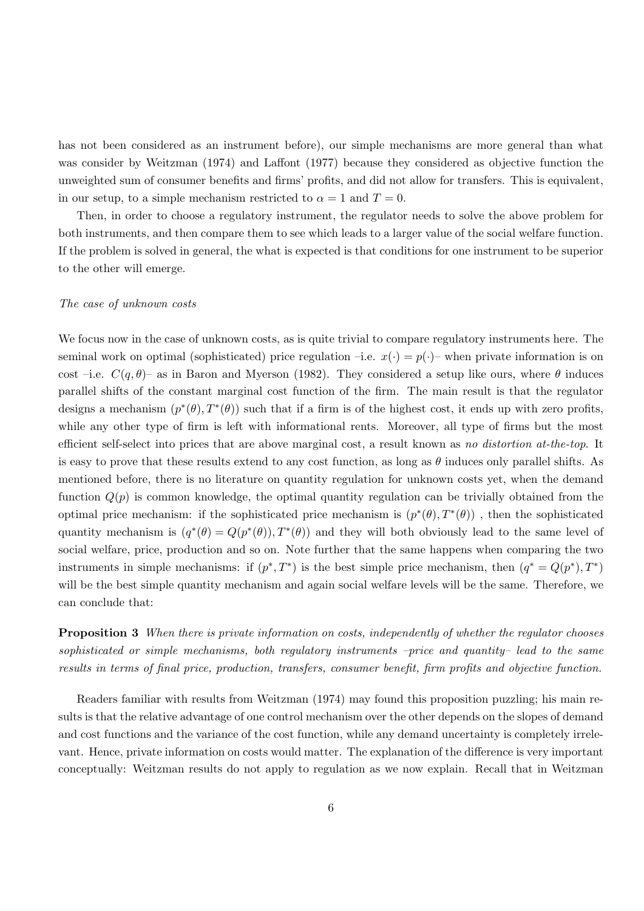has not been considered as an instrument before), our simple mechanisms are more general than what was consider by Weitzman (1974) and Laffont (1977) because they considered as objective function the unweighted sum of consumer benefits and firms' profits, and did not allow for transfers. This is equivalent, in our setup, to a simple mechanism restricted to  $\alpha = 1$  and  $T = 0$ .

Then, in order to choose a regulatory instrument, the regulator needs to solve the above problem for both instruments, and then compare them to see which leads to a larger value of the social welfare function. If the problem is solved in general, the what is expected is that conditions for one instrument to be superior to the other will emerge.

# The case of unknown costs

We focus now in the case of unknown costs, as is quite trivial to compare regulatory instruments here. The seminal work on optimal (sophisticated) price regulation –i.e.  $x(\cdot) = p(\cdot)$ – when private information is on cost –i.e.  $C(q, \theta)$ – as in Baron and Myerson (1982). They considered a setup like ours, where  $\theta$  induces parallel shifts of the constant marginal cost function of the firm. The main result is that the regulator designs a mechanism  $(p^*(\theta), T^*(\theta))$  such that if a firm is of the highest cost, it ends up with zero profits, while any other type of firm is left with informational rents. Moreover, all type of firms but the most efficient self-select into prices that are above marginal cost, a result known as no distortion at-the-top. It is easy to prove that these results extend to any cost function, as long as  $\theta$  induces only parallel shifts. As mentioned before, there is no literature on quantity regulation for unknown costs yet, when the demand function  $Q(p)$  is common knowledge, the optimal quantity regulation can be trivially obtained from the optimal price mechanism: if the sophisticated price mechanism is  $(p^*(\theta), T^*(\theta))$ , then the sophisticated quantity mechanism is  $(q^*(\theta) = Q(p^*(\theta)), T^*(\theta))$  and they will both obviously lead to the same level of social welfare, price, production and so on. Note further that the same happens when comparing the two instruments in simple mechanisms: if  $(p^*,T^*)$  is the best simple price mechanism, then  $(q^* = Q(p^*),T^*)$ will be the best simple quantity mechanism and again social welfare levels will be the same. Therefore, we can conclude that:

**Proposition 3** When there is private information on costs, independently of whether the regulator chooses sophisticated or simple mechanisms, both regulatory instruments –price and quantity– lead to the same results in terms of final price, production, transfers, consumer benefit, firm profits and objective function.

Readers familiar with results from Weitzman (1974) may found this proposition puzzling; his main results is that the relative advantage of one control mechanism over the other depends on the slopes of demand and cost functions and the variance of the cost function, while any demand uncertainty is completely irrelevant. Hence, private information on costs would matter. The explanation of the difference is very important conceptually: Weitzman results do not apply to regulation as we now explain. Recall that in Weitzman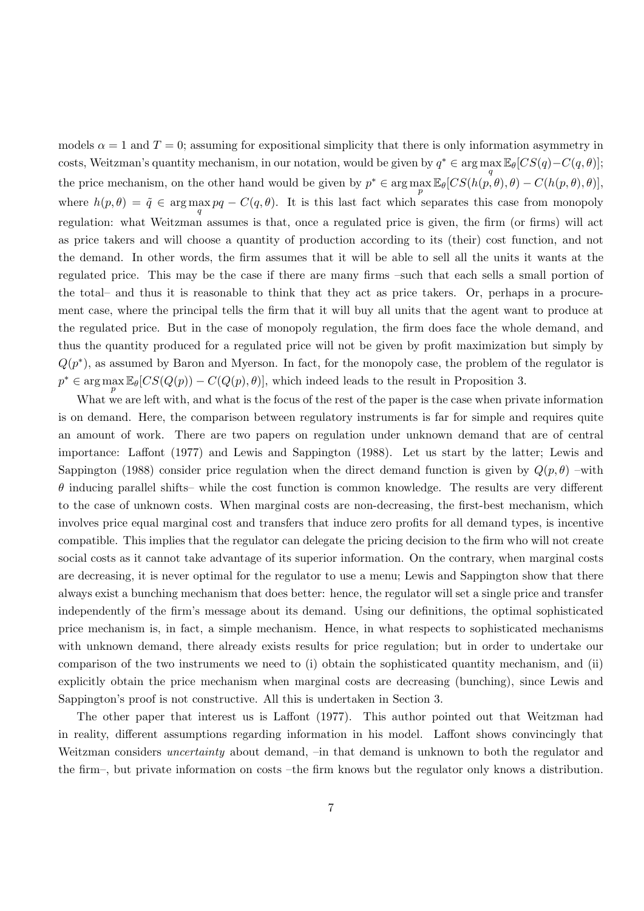models  $\alpha = 1$  and  $T = 0$ ; assuming for expositional simplicity that there is only information asymmetry in costs, Weitzman's quantity mechanism, in our notation, would be given by  $q^* \in \arg \max \mathbb{E}_{\theta}[CS(q) - C(q, \theta)];$  $\overline{q}$ the price mechanism, on the other hand would be given by  $p^* \in \arg \max_{p} \mathbb{E}_{\theta}[CS(h(p, \theta), \theta) - C(h(p, \theta), \theta)],$ where  $h(p, \theta) = \tilde{q} \in \arg\max_{q} pq - C(q, \theta)$ . It is this last fact which separates this case from monopoly regulation: what Weitzman assumes is that, once a regulated price is given, the firm (or firms) will act as price takers and will choose a quantity of production according to its (their) cost function, and not the demand. In other words, the firm assumes that it will be able to sell all the units it wants at the regulated price. This may be the case if there are many firms –such that each sells a small portion of the total– and thus it is reasonable to think that they act as price takers. Or, perhaps in a procurement case, where the principal tells the firm that it will buy all units that the agent want to produce at the regulated price. But in the case of monopoly regulation, the firm does face the whole demand, and thus the quantity produced for a regulated price will not be given by profit maximization but simply by  $Q(p^*)$ , as assumed by Baron and Myerson. In fact, for the monopoly case, the problem of the regulator is  $p^* \in \arg \max_{p} \mathbb{E}_{\theta}[CS(Q(p)) - C(Q(p), \theta)],$  which indeed leads to the result in Proposition 3.

What we are left with, and what is the focus of the rest of the paper is the case when private information is on demand. Here, the comparison between regulatory instruments is far for simple and requires quite an amount of work. There are two papers on regulation under unknown demand that are of central importance: Laffont (1977) and Lewis and Sappington (1988). Let us start by the latter; Lewis and Sappington (1988) consider price regulation when the direct demand function is given by  $Q(p,\theta)$  –with  $\theta$  inducing parallel shifts– while the cost function is common knowledge. The results are very different to the case of unknown costs. When marginal costs are non-decreasing, the first-best mechanism, which involves price equal marginal cost and transfers that induce zero profits for all demand types, is incentive compatible. This implies that the regulator can delegate the pricing decision to the firm who will not create social costs as it cannot take advantage of its superior information. On the contrary, when marginal costs are decreasing, it is never optimal for the regulator to use a menu; Lewis and Sappington show that there always exist a bunching mechanism that does better: hence, the regulator will set a single price and transfer independently of the firm's message about its demand. Using our definitions, the optimal sophisticated price mechanism is, in fact, a simple mechanism. Hence, in what respects to sophisticated mechanisms with unknown demand, there already exists results for price regulation; but in order to undertake our comparison of the two instruments we need to (i) obtain the sophisticated quantity mechanism, and (ii) explicitly obtain the price mechanism when marginal costs are decreasing (bunching), since Lewis and Sappington's proof is not constructive. All this is undertaken in Section 3.

The other paper that interest us is Laffont (1977). This author pointed out that Weitzman had in reality, different assumptions regarding information in his model. Laffont shows convincingly that Weitzman considers *uncertainty* about demand, –in that demand is unknown to both the regulator and the firm–, but private information on costs –the firm knows but the regulator only knows a distribution.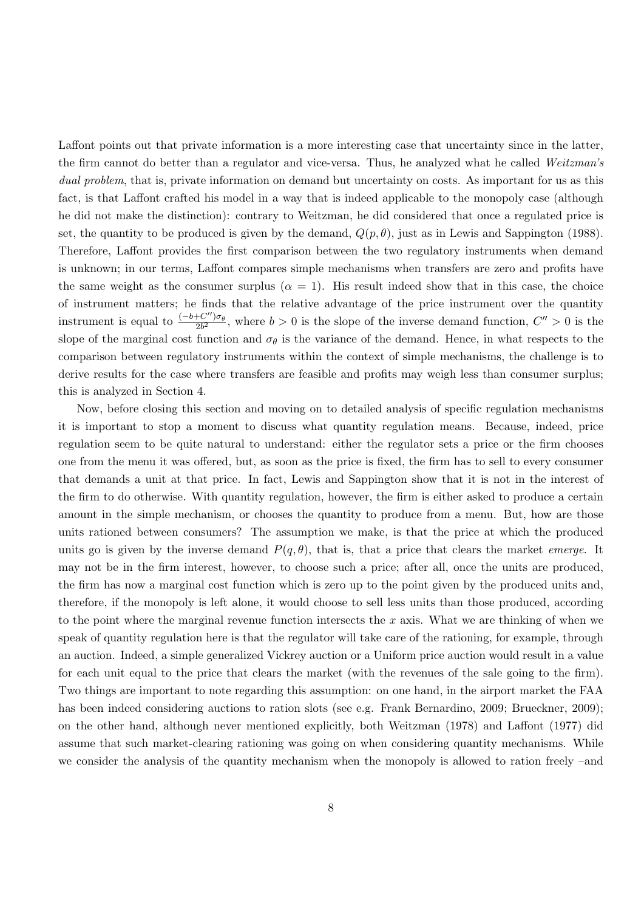Laffont points out that private information is a more interesting case that uncertainty since in the latter, the firm cannot do better than a regulator and vice-versa. Thus, he analyzed what he called Weitzman's dual problem, that is, private information on demand but uncertainty on costs. As important for us as this fact, is that Laffont crafted his model in a way that is indeed applicable to the monopoly case (although he did not make the distinction): contrary to Weitzman, he did considered that once a regulated price is set, the quantity to be produced is given by the demand,  $Q(p, \theta)$ , just as in Lewis and Sappington (1988). Therefore, Laffont provides the first comparison between the two regulatory instruments when demand is unknown; in our terms, Laffont compares simple mechanisms when transfers are zero and profits have the same weight as the consumer surplus ( $\alpha = 1$ ). His result indeed show that in this case, the choice of instrument matters; he finds that the relative advantage of the price instrument over the quantity instrument is equal to  $\frac{(-b+C'')\sigma_{\theta}}{2b^2}$ , where  $b>0$  is the slope of the inverse demand function,  $C''>0$  is the slope of the marginal cost function and  $\sigma_{\theta}$  is the variance of the demand. Hence, in what respects to the comparison between regulatory instruments within the context of simple mechanisms, the challenge is to derive results for the case where transfers are feasible and profits may weigh less than consumer surplus; this is analyzed in Section 4.

Now, before closing this section and moving on to detailed analysis of specific regulation mechanisms it is important to stop a moment to discuss what quantity regulation means. Because, indeed, price regulation seem to be quite natural to understand: either the regulator sets a price or the firm chooses one from the menu it was offered, but, as soon as the price is fixed, the firm has to sell to every consumer that demands a unit at that price. In fact, Lewis and Sappington show that it is not in the interest of the firm to do otherwise. With quantity regulation, however, the firm is either asked to produce a certain amount in the simple mechanism, or chooses the quantity to produce from a menu. But, how are those units rationed between consumers? The assumption we make, is that the price at which the produced units go is given by the inverse demand  $P(q, \theta)$ , that is, that a price that clears the market *emerge*. It may not be in the firm interest, however, to choose such a price; after all, once the units are produced, the firm has now a marginal cost function which is zero up to the point given by the produced units and, therefore, if the monopoly is left alone, it would choose to sell less units than those produced, according to the point where the marginal revenue function intersects the  $x$  axis. What we are thinking of when we speak of quantity regulation here is that the regulator will take care of the rationing, for example, through an auction. Indeed, a simple generalized Vickrey auction or a Uniform price auction would result in a value for each unit equal to the price that clears the market (with the revenues of the sale going to the firm). Two things are important to note regarding this assumption: on one hand, in the airport market the FAA has been indeed considering auctions to ration slots (see e.g. Frank Bernardino, 2009; Brueckner, 2009); on the other hand, although never mentioned explicitly, both Weitzman (1978) and Laffont (1977) did assume that such market-clearing rationing was going on when considering quantity mechanisms. While we consider the analysis of the quantity mechanism when the monopoly is allowed to ration freely –and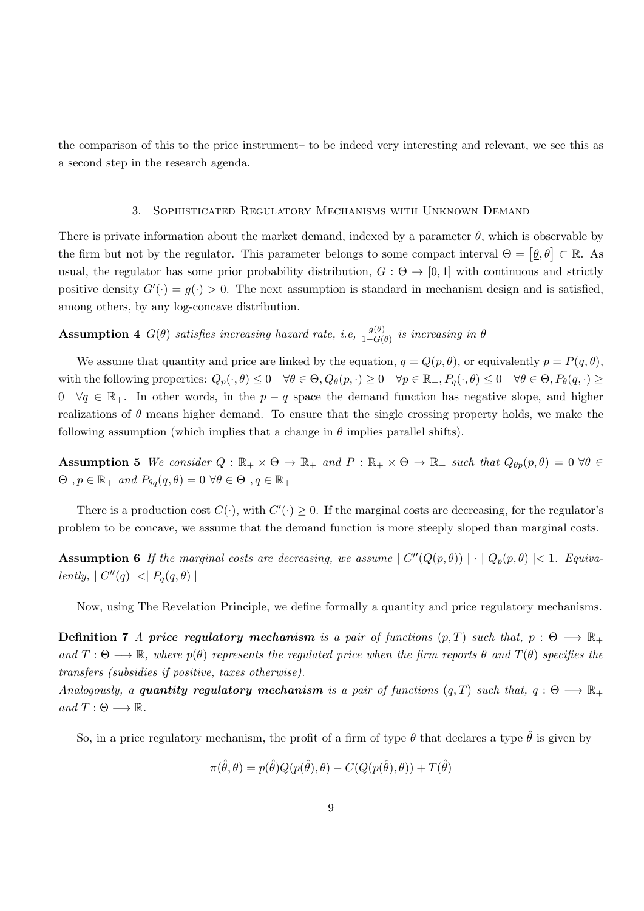the comparison of this to the price instrument– to be indeed very interesting and relevant, we see this as a second step in the research agenda.

#### 3. Sophisticated Regulatory Mechanisms with Unknown Demand

There is private information about the market demand, indexed by a parameter  $\theta$ , which is observable by the firm but not by the regulator. This parameter belongs to some compact interval  $\Theta = [\underline{\theta}, \overline{\theta}] \subset \mathbb{R}$ . As usual, the regulator has some prior probability distribution,  $G : \Theta \to [0, 1]$  with continuous and strictly positive density  $G'(\cdot) = g(\cdot) > 0$ . The next assumption is standard in mechanism design and is satisfied, among others, by any log-concave distribution.

Assumption 4  $G(\theta)$  satisfies increasing hazard rate, i.e,  $\frac{g(\theta)}{1-G(\theta)}$  is increasing in  $\theta$ 

We assume that quantity and price are linked by the equation,  $q = Q(p, \theta)$ , or equivalently  $p = P(q, \theta)$ , with the following properties:  $Q_p(\cdot, \theta) \leq 0 \quad \forall \theta \in \Theta$ ,  $Q_\theta(p, \cdot) \geq 0 \quad \forall p \in \mathbb{R}_+$ ,  $P_q(\cdot, \theta) \leq 0 \quad \forall \theta \in \Theta$ ,  $P_\theta(q, \cdot) \geq 0$ 0  $\forall q \in \mathbb{R}_+$ . In other words, in the  $p - q$  space the demand function has negative slope, and higher realizations of  $\theta$  means higher demand. To ensure that the single crossing property holds, we make the following assumption (which implies that a change in  $\theta$  implies parallel shifts).

Assumption 5 We consider  $Q : \mathbb{R}_+ \times \Theta \to \mathbb{R}_+$  and  $P : \mathbb{R}_+ \times \Theta \to \mathbb{R}_+$  such that  $Q_{\theta p}(p, \theta) = 0 \ \forall \theta \in \mathbb{R}_+$  $\Theta$ ,  $p \in \mathbb{R}_+$  and  $P_{\theta q}(q, \theta) = 0 \ \forall \theta \in \Theta$ ,  $q \in \mathbb{R}_+$ 

There is a production cost  $C(\cdot)$ , with  $C'(\cdot) \geq 0$ . If the marginal costs are decreasing, for the regulator's problem to be concave, we assume that the demand function is more steeply sloped than marginal costs.

**Assumption 6** If the marginal costs are decreasing, we assume  $| C''(Q(p, \theta)) | \cdot | Q_p(p, \theta) | < 1$ . Equivalently,  $| C''(q) | < | P_q(q, \theta) |$ 

Now, using The Revelation Principle, we define formally a quantity and price regulatory mechanisms.

**Definition 7** A price regulatory mechanism is a pair of functions  $(p,T)$  such that,  $p: \Theta \longrightarrow \mathbb{R}_+$ and  $T : \Theta \longrightarrow \mathbb{R}$ , where  $p(\theta)$  represents the regulated price when the firm reports  $\theta$  and  $T(\theta)$  specifies the transfers (subsidies if positive, taxes otherwise).

Analogously, a quantity regulatory mechanism is a pair of functions  $(q, T)$  such that,  $q : \Theta \longrightarrow \mathbb{R}_+$ and  $T: \Theta \longrightarrow \mathbb{R}$ .

So, in a price regulatory mechanism, the profit of a firm of type  $\theta$  that declares a type  $\hat{\theta}$  is given by

$$
\pi(\hat{\theta},\theta) = p(\hat{\theta})Q(p(\hat{\theta}),\theta) - C(Q(p(\hat{\theta}),\theta)) + T(\hat{\theta})
$$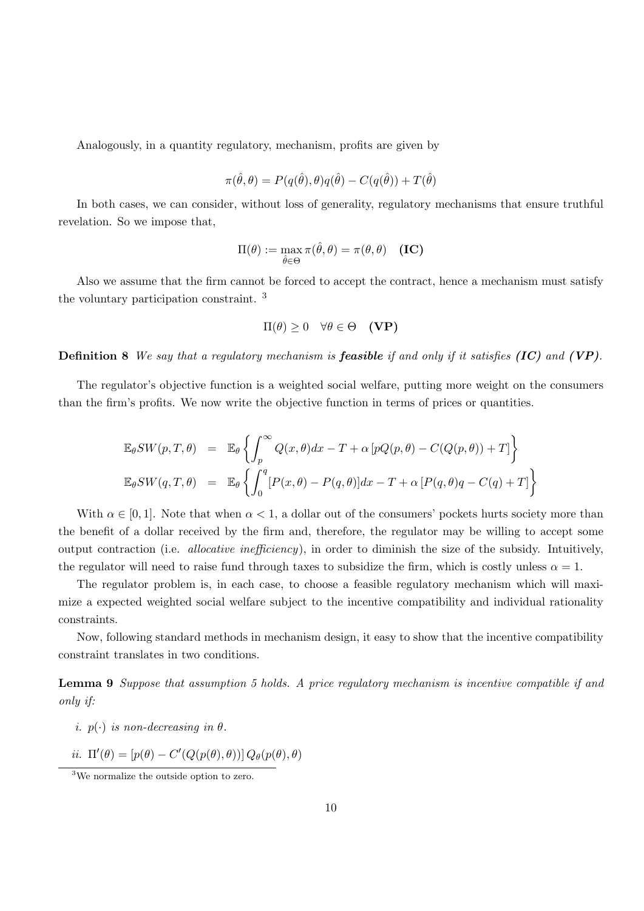Analogously, in a quantity regulatory, mechanism, profits are given by

$$
\pi(\hat{\theta}, \theta) = P(q(\hat{\theta}), \theta)q(\hat{\theta}) - C(q(\hat{\theta})) + T(\hat{\theta})
$$

In both cases, we can consider, without loss of generality, regulatory mechanisms that ensure truthful revelation. So we impose that,

$$
\Pi(\theta) := \max_{\hat{\theta} \in \Theta} \pi(\hat{\theta}, \theta) = \pi(\theta, \theta) \quad (\text{IC})
$$

Also we assume that the firm cannot be forced to accept the contract, hence a mechanism must satisfy the voluntary participation constraint. <sup>3</sup>

$$
\Pi(\theta) \ge 0 \quad \forall \theta \in \Theta \quad (\mathbf{VP})
$$

**Definition 8** We say that a regulatory mechanism is **feasible** if and only if it satisfies  $(IC)$  and  $(VP)$ .

The regulator's objective function is a weighted social welfare, putting more weight on the consumers than the firm's profits. We now write the objective function in terms of prices or quantities.

$$
\mathbb{E}_{\theta}SW(p,T,\theta) = \mathbb{E}_{\theta} \left\{ \int_{p}^{\infty} Q(x,\theta)dx - T + \alpha \left[ pQ(p,\theta) - C(Q(p,\theta)) + T \right] \right\}
$$
  

$$
\mathbb{E}_{\theta}SW(q,T,\theta) = \mathbb{E}_{\theta} \left\{ \int_{0}^{q} \left[ P(x,\theta) - P(q,\theta) \right] dx - T + \alpha \left[ P(q,\theta)q - C(q) + T \right] \right\}
$$

With  $\alpha \in [0, 1]$ . Note that when  $\alpha < 1$ , a dollar out of the consumers' pockets hurts society more than the benefit of a dollar received by the firm and, therefore, the regulator may be willing to accept some output contraction (i.e. allocative inefficiency), in order to diminish the size of the subsidy. Intuitively, the regulator will need to raise fund through taxes to subsidize the firm, which is costly unless  $\alpha = 1$ .

The regulator problem is, in each case, to choose a feasible regulatory mechanism which will maximize a expected weighted social welfare subject to the incentive compatibility and individual rationality constraints.

Now, following standard methods in mechanism design, it easy to show that the incentive compatibility constraint translates in two conditions.

Lemma 9 Suppose that assumption 5 holds. A price regulatory mechanism is incentive compatible if and only if:

- i.  $p(\cdot)$  is non-decreasing in  $\theta$ .
- ii.  $\Pi'(\theta) = [p(\theta) C'(Q(p(\theta), \theta))] Q_{\theta}(p(\theta), \theta)$

<sup>3</sup>We normalize the outside option to zero.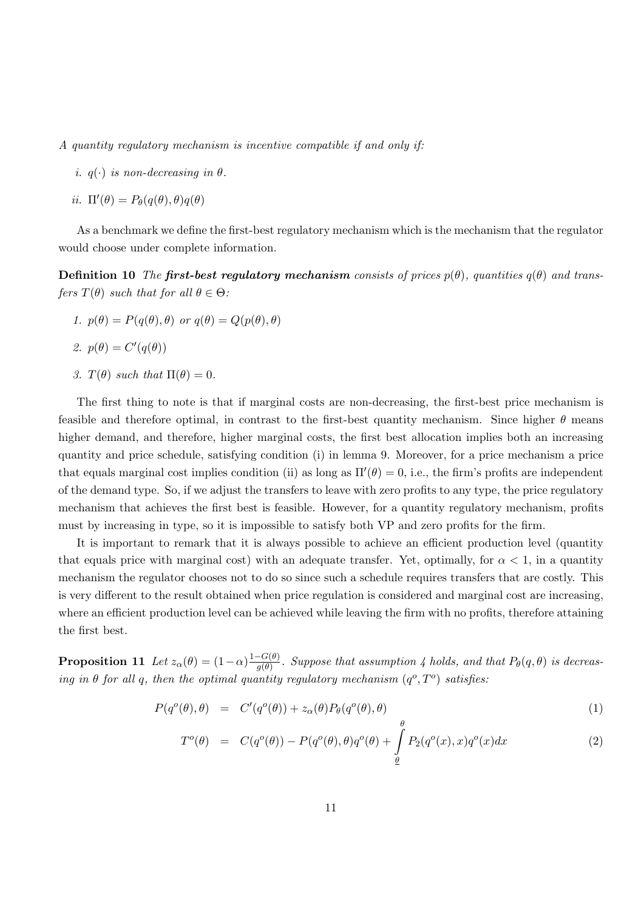A quantity regulatory mechanism is incentive compatible if and only if:

i.  $q(\cdot)$  is non-decreasing in  $\theta$ .

$$
ii. \ \Pi'(\theta) = P_{\theta}(q(\theta), \theta)q(\theta)
$$

As a benchmark we define the first-best regulatory mechanism which is the mechanism that the regulator would choose under complete information.

**Definition 10** The **first-best regulatory mechanism** consists of prices  $p(\theta)$ , quantities  $q(\theta)$  and transfers  $T(\theta)$  such that for all  $\theta \in \Theta$ :

1.  $p(\theta) = P(q(\theta), \theta)$  or  $q(\theta) = Q(p(\theta), \theta)$ 

2. 
$$
p(\theta) = C'(q(\theta))
$$

3.  $T(\theta)$  such that  $\Pi(\theta) = 0$ .

The first thing to note is that if marginal costs are non-decreasing, the first-best price mechanism is feasible and therefore optimal, in contrast to the first-best quantity mechanism. Since higher  $\theta$  means higher demand, and therefore, higher marginal costs, the first best allocation implies both an increasing quantity and price schedule, satisfying condition (i) in lemma 9. Moreover, for a price mechanism a price that equals marginal cost implies condition (ii) as long as  $\Pi'(\theta) = 0$ , i.e., the firm's profits are independent of the demand type. So, if we adjust the transfers to leave with zero profits to any type, the price regulatory mechanism that achieves the first best is feasible. However, for a quantity regulatory mechanism, profits must by increasing in type, so it is impossible to satisfy both VP and zero profits for the firm.

It is important to remark that it is always possible to achieve an efficient production level (quantity that equals price with marginal cost) with an adequate transfer. Yet, optimally, for  $\alpha < 1$ , in a quantity mechanism the regulator chooses not to do so since such a schedule requires transfers that are costly. This is very different to the result obtained when price regulation is considered and marginal cost are increasing, where an efficient production level can be achieved while leaving the firm with no profits, therefore attaining the first best.

**Proposition 11** Let  $z_{\alpha}(\theta) = (1-\alpha) \frac{1-G(\theta)}{a(\theta)}$  $\frac{G(\theta)}{g(\theta)}$ . Suppose that assumption 4 holds, and that  $P_{\theta}(q, \theta)$  is decreasing in  $\theta$  for all q, then the optimal quantity regulatory mechanism  $(q^o, T^o)$  satisfies:

$$
P(q^o(\theta), \theta) = C'(q^o(\theta)) + z_\alpha(\theta)P_\theta(q^o(\theta), \theta)
$$
\n(1)

$$
T^o(\theta) = C(q^o(\theta)) - P(q^o(\theta), \theta)q^o(\theta) + \int_{\theta}^{\theta} P_2(q^o(x), x)q^o(x)dx \qquad (2)
$$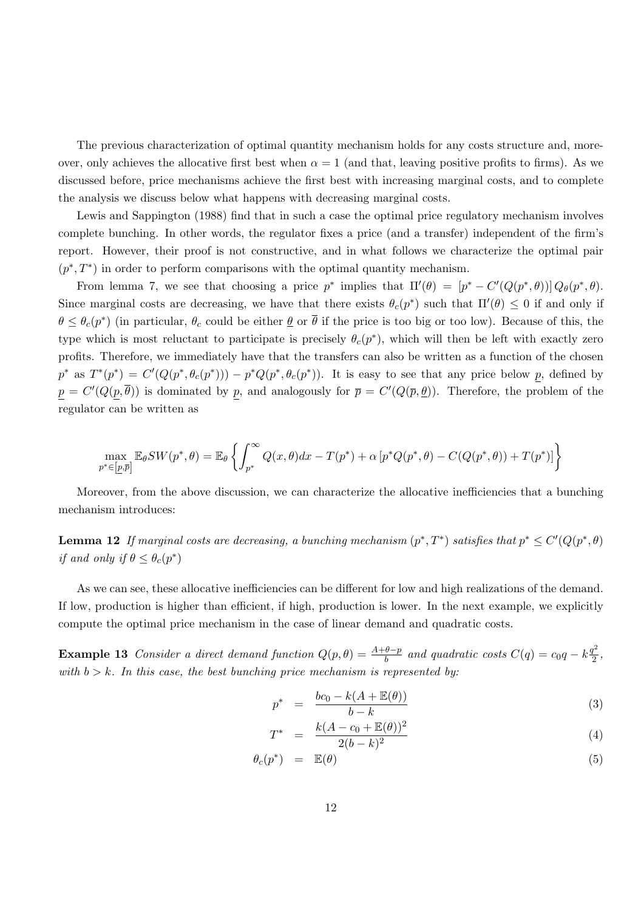The previous characterization of optimal quantity mechanism holds for any costs structure and, moreover, only achieves the allocative first best when  $\alpha = 1$  (and that, leaving positive profits to firms). As we discussed before, price mechanisms achieve the first best with increasing marginal costs, and to complete the analysis we discuss below what happens with decreasing marginal costs.

Lewis and Sappington (1988) find that in such a case the optimal price regulatory mechanism involves complete bunching. In other words, the regulator fixes a price (and a transfer) independent of the firm's report. However, their proof is not constructive, and in what follows we characterize the optimal pair  $(p^*,T^*)$  in order to perform comparisons with the optimal quantity mechanism.

From lemma 7, we see that choosing a price  $p^*$  implies that  $\Pi'(\theta) = [p^* - C'(Q(p^*, \theta))] Q_{\theta}(p^*, \theta)$ . Since marginal costs are decreasing, we have that there exists  $\theta_c(p^*)$  such that  $\Pi'(\theta) \leq 0$  if and only if  $\theta \leq \theta_c(p^*)$  (in particular,  $\theta_c$  could be either  $\underline{\theta}$  or  $\overline{\theta}$  if the price is too big or too low). Because of this, the type which is most reluctant to participate is precisely  $\theta_c(p^*)$ , which will then be left with exactly zero profits. Therefore, we immediately have that the transfers can also be written as a function of the chosen  $p^*$  as  $T^*(p^*) = C'(Q(p^*, \theta_c(p^*))) - p^*Q(p^*, \theta_c(p^*))$ . It is easy to see that any price below p, defined by  $p = C'(Q(p, \overline{\theta}))$  is dominated by p, and analogously for  $\overline{p} = C'(Q(\overline{p}, \underline{\theta}))$ . Therefore, the problem of the regulator can be written as

$$
\max_{p^* \in [p,\overline{p}]} \mathbb{E}_{\theta} SW(p^*,\theta) = \mathbb{E}_{\theta} \left\{ \int_{p^*}^{\infty} Q(x,\theta) dx - T(p^*) + \alpha \left[ p^* Q(p^*,\theta) - C(Q(p^*,\theta)) + T(p^*) \right] \right\}
$$

Moreover, from the above discussion, we can characterize the allocative inefficiencies that a bunching mechanism introduces:

**Lemma 12** If marginal costs are decreasing, a bunching mechanism  $(p^*,T^*)$  satisfies that  $p^* \leq C'(Q(p^*,\theta))$ if and only if  $\theta \leq \theta_c(p^*)$ 

As we can see, these allocative inefficiencies can be different for low and high realizations of the demand. If low, production is higher than efficient, if high, production is lower. In the next example, we explicitly compute the optimal price mechanism in the case of linear demand and quadratic costs.

Example 13 Consider a direct demand function  $Q(p, \theta) = \frac{A+\theta-p}{b}$  and quadratic costs  $C(q) = c_0q - k\frac{q^2}{2}$  $\frac{T}{2}$ , with  $b > k$ . In this case, the best bunching price mechanism is represented by:

$$
p^* = \frac{bc_0 - k(A + \mathbb{E}(\theta))}{b - k} \tag{3}
$$

$$
T^* = \frac{k(A - c_0 + \mathbb{E}(\theta))^2}{2(b - k)^2}
$$
 (4)

$$
\theta_c(p^*) = \mathbb{E}(\theta) \tag{5}
$$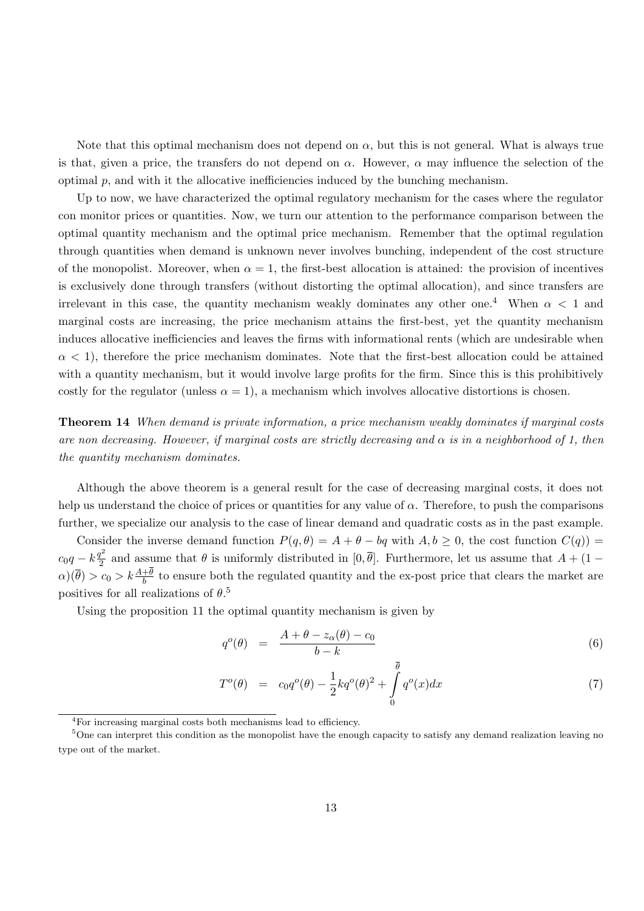Note that this optimal mechanism does not depend on  $\alpha$ , but this is not general. What is always true is that, given a price, the transfers do not depend on  $\alpha$ . However,  $\alpha$  may influence the selection of the optimal  $p$ , and with it the allocative inefficiencies induced by the bunching mechanism.

Up to now, we have characterized the optimal regulatory mechanism for the cases where the regulator con monitor prices or quantities. Now, we turn our attention to the performance comparison between the optimal quantity mechanism and the optimal price mechanism. Remember that the optimal regulation through quantities when demand is unknown never involves bunching, independent of the cost structure of the monopolist. Moreover, when  $\alpha = 1$ , the first-best allocation is attained: the provision of incentives is exclusively done through transfers (without distorting the optimal allocation), and since transfers are irrelevant in this case, the quantity mechanism weakly dominates any other one.<sup>4</sup> When  $\alpha$  < 1 and marginal costs are increasing, the price mechanism attains the first-best, yet the quantity mechanism induces allocative inefficiencies and leaves the firms with informational rents (which are undesirable when  $\alpha$  < 1), therefore the price mechanism dominates. Note that the first-best allocation could be attained with a quantity mechanism, but it would involve large profits for the firm. Since this is this prohibitively costly for the regulator (unless  $\alpha = 1$ ), a mechanism which involves allocative distortions is chosen.

Theorem 14 When demand is private information, a price mechanism weakly dominates if marginal costs are non decreasing. However, if marginal costs are strictly decreasing and  $\alpha$  is in a neighborhood of 1, then the quantity mechanism dominates.

Although the above theorem is a general result for the case of decreasing marginal costs, it does not help us understand the choice of prices or quantities for any value of  $\alpha$ . Therefore, to push the comparisons further, we specialize our analysis to the case of linear demand and quadratic costs as in the past example.

Consider the inverse demand function  $P(q, \theta) = A + \theta - bq$  with  $A, b \ge 0$ , the cost function  $C(q)$ ) =  $c_0q - k\frac{q^2}{2}$  $\frac{d^2}{2}$  and assume that  $\theta$  is uniformly distributed in [0,  $\theta$ ]. Furthermore, let us assume that  $A + (1 - \theta)$  $\alpha$ )( $\bar{\theta}$ ) >  $c_0 > k \frac{A+\theta}{b}$  to ensure both the regulated quantity and the ex-post price that clears the market are positives for all realizations of  $\theta$ .<sup>5</sup>

Using the proposition 11 the optimal quantity mechanism is given by

$$
q^o(\theta) = \frac{A + \theta - z_\alpha(\theta) - c_0}{b - k} \tag{6}
$$

$$
T^{o}(\theta) = c_0 q^{o}(\theta) - \frac{1}{2} k q^{o}(\theta)^2 + \int_{0}^{\theta} q^{o}(x) dx
$$
 (7)

<sup>4</sup>For increasing marginal costs both mechanisms lead to efficiency.

 $5$ One can interpret this condition as the monopolist have the enough capacity to satisfy any demand realization leaving no type out of the market.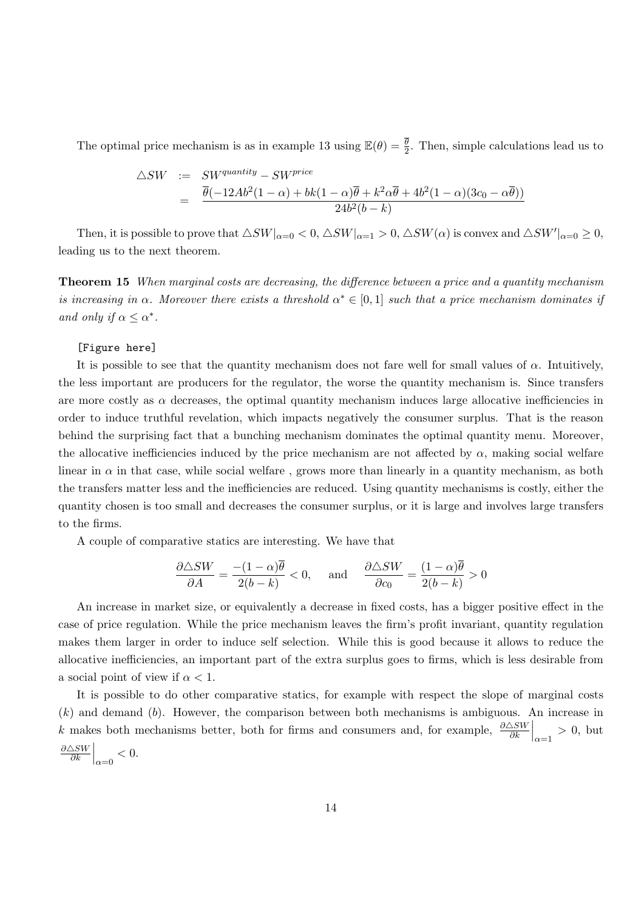The optimal price mechanism is as in example 13 using  $\mathbb{E}(\theta) = \frac{\overline{\theta}}{2}$ . Then, simple calculations lead us to

$$
\triangle SW := SWquantity - SWprice
$$
  
= 
$$
\frac{\overline{\theta}(-12Ab^{2}(1-\alpha) + bk(1-\alpha)\overline{\theta} + k^{2}\alpha\overline{\theta} + 4b^{2}(1-\alpha)(3c_{0} - \alpha\overline{\theta}))}{24b^{2}(b-k)}
$$

Then, it is possible to prove that  $\triangle SW|_{\alpha=0} < 0$ ,  $\triangle SW|_{\alpha=1} > 0$ ,  $\triangle SW(\alpha)$  is convex and  $\triangle SW'|_{\alpha=0} \geq 0$ , leading us to the next theorem.

Theorem 15 When marginal costs are decreasing, the difference between a price and a quantity mechanism is increasing in  $\alpha$ . Moreover there exists a threshold  $\alpha^* \in [0,1]$  such that a price mechanism dominates if and only if  $\alpha \leq \alpha^*$ .

# [Figure here]

It is possible to see that the quantity mechanism does not fare well for small values of  $\alpha$ . Intuitively, the less important are producers for the regulator, the worse the quantity mechanism is. Since transfers are more costly as  $\alpha$  decreases, the optimal quantity mechanism induces large allocative inefficiencies in order to induce truthful revelation, which impacts negatively the consumer surplus. That is the reason behind the surprising fact that a bunching mechanism dominates the optimal quantity menu. Moreover, the allocative inefficiencies induced by the price mechanism are not affected by  $\alpha$ , making social welfare linear in  $\alpha$  in that case, while social welfare, grows more than linearly in a quantity mechanism, as both the transfers matter less and the inefficiencies are reduced. Using quantity mechanisms is costly, either the quantity chosen is too small and decreases the consumer surplus, or it is large and involves large transfers to the firms.

A couple of comparative statics are interesting. We have that

$$
\frac{\partial \triangle SW}{\partial A} = \frac{-(1-\alpha)\overline{\theta}}{2(b-k)} < 0, \quad \text{and} \quad \frac{\partial \triangle SW}{\partial c_0} = \frac{(1-\alpha)\overline{\theta}}{2(b-k)} > 0
$$

An increase in market size, or equivalently a decrease in fixed costs, has a bigger positive effect in the case of price regulation. While the price mechanism leaves the firm's profit invariant, quantity regulation makes them larger in order to induce self selection. While this is good because it allows to reduce the allocative inefficiencies, an important part of the extra surplus goes to firms, which is less desirable from a social point of view if  $\alpha < 1$ .

It is possible to do other comparative statics, for example with respect the slope of marginal costs  $(k)$  and demand  $(b)$ . However, the comparison between both mechanisms is ambiguous. An increase in k makes both mechanisms better, both for firms and consumers and, for example,  $\frac{\partial \triangle SW}{\partial k}\Big|_{\alpha=1} > 0$ , but  $\partial \triangle{SW}$  $\frac{\Delta SW}{\partial k}\Big|_{\alpha=0} < 0.$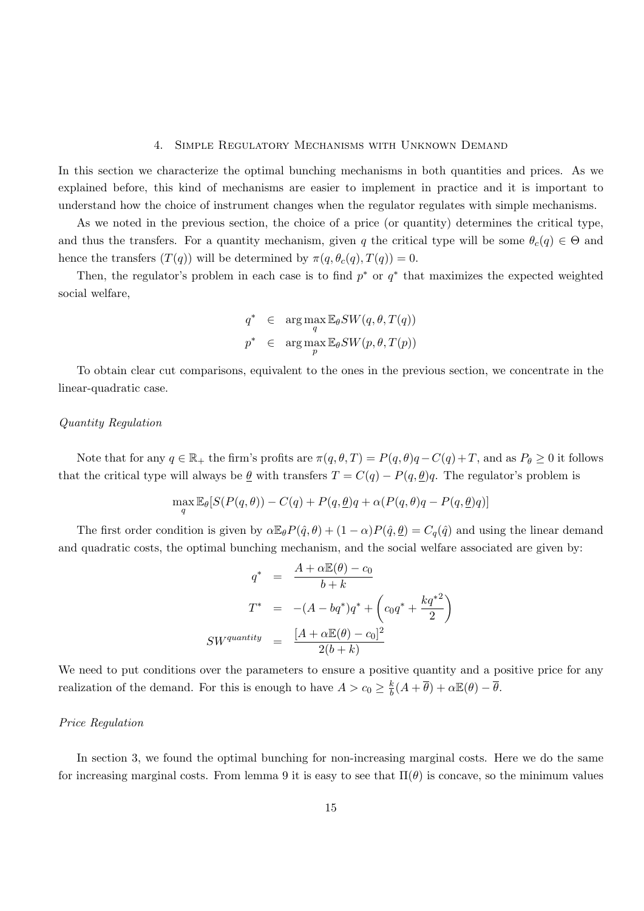#### 4. Simple Regulatory Mechanisms with Unknown Demand

In this section we characterize the optimal bunching mechanisms in both quantities and prices. As we explained before, this kind of mechanisms are easier to implement in practice and it is important to understand how the choice of instrument changes when the regulator regulates with simple mechanisms.

As we noted in the previous section, the choice of a price (or quantity) determines the critical type, and thus the transfers. For a quantity mechanism, given q the critical type will be some  $\theta_c(q) \in \Theta$  and hence the transfers  $(T(q))$  will be determined by  $\pi(q, \theta_c(q), T(q)) = 0$ .

Then, the regulator's problem in each case is to find  $p^*$  or  $q^*$  that maximizes the expected weighted social welfare,

$$
q^* \in \arg\max_{q} \mathbb{E}_{\theta} SW(q, \theta, T(q))
$$
  

$$
p^* \in \arg\max_{p} \mathbb{E}_{\theta} SW(p, \theta, T(p))
$$

To obtain clear cut comparisons, equivalent to the ones in the previous section, we concentrate in the linear-quadratic case.

# Quantity Regulation

Note that for any  $q \in \mathbb{R}_+$  the firm's profits are  $\pi(q, \theta, T) = P(q, \theta)q - C(q) + T$ , and as  $P_\theta \geq 0$  it follows that the critical type will always be  $\underline{\theta}$  with transfers  $T = C(q) - P(q, \underline{\theta})q$ . The regulator's problem is

$$
\max_{q} \mathbb{E}_{\theta}[S(P(q, \theta)) - C(q) + P(q, \underline{\theta})q + \alpha(P(q, \theta)q - P(q, \underline{\theta})q)]
$$

The first order condition is given by  $\alpha \mathbb{E}_{\theta} P(\hat{q}, \theta) + (1 - \alpha) P(\hat{q}, \theta) = C_q(\hat{q})$  and using the linear demand and quadratic costs, the optimal bunching mechanism, and the social welfare associated are given by:

$$
q^* = \frac{A + \alpha \mathbb{E}(\theta) - c_0}{b + k}
$$
  

$$
T^* = -(A - bq^*)q^* + \left(c_0q^* + \frac{kq^{*2}}{2}\right)
$$
  

$$
SWquantity = \frac{[A + \alpha \mathbb{E}(\theta) - c_0]^2}{2(b + k)}
$$

We need to put conditions over the parameters to ensure a positive quantity and a positive price for any realization of the demand. For this is enough to have  $A > c_0 \geq \frac{k}{b}$  $\frac{k}{b}(A+\overline{\theta})+\alpha \mathbb{E}(\theta)-\overline{\theta}.$ 

# Price Regulation

In section 3, we found the optimal bunching for non-increasing marginal costs. Here we do the same for increasing marginal costs. From lemma 9 it is easy to see that  $\Pi(\theta)$  is concave, so the minimum values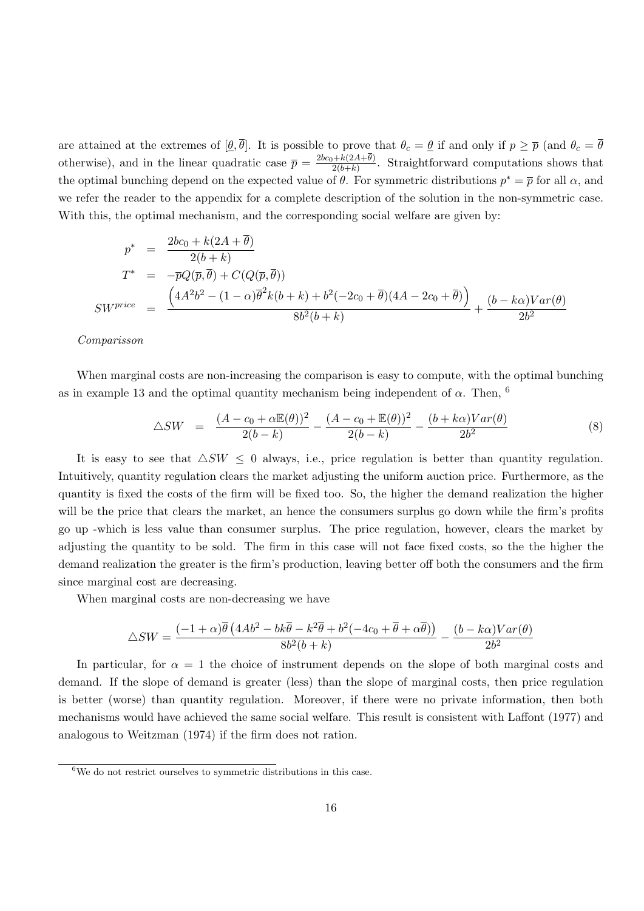are attained at the extremes of  $[\underline{\theta}, \overline{\theta}]$ . It is possible to prove that  $\theta_c = \underline{\theta}$  if and only if  $p \geq \overline{p}$  (and  $\theta_c = \overline{\theta}$ ) otherwise), and in the linear quadratic case  $\bar{p} = \frac{2bc_0 + k(2A + \theta)}{2(b + k)}$  $\frac{2(h+k)}{2(b+k)}$ . Straightforward computations shows that the optimal bunching depend on the expected value of  $\theta$ . For symmetric distributions  $p^* = \overline{p}$  for all  $\alpha$ , and we refer the reader to the appendix for a complete description of the solution in the non-symmetric case. With this, the optimal mechanism, and the corresponding social welfare are given by:

$$
p^* = \frac{2bc_0 + k(2A + \overline{\theta})}{2(b+k)}
$$
  
\n
$$
T^* = -\overline{p}Q(\overline{p}, \overline{\theta}) + C(Q(\overline{p}, \overline{\theta}))
$$
  
\n
$$
SW^{price} = \frac{(4A^2b^2 - (1-\alpha)\overline{\theta}^2k(b+k) + b^2(-2c_0 + \overline{\theta})(4A - 2c_0 + \overline{\theta}))}{8b^2(b+k)} + \frac{(b - k\alpha)Var(\theta)}{2b^2}
$$

#### Comparisson

When marginal costs are non-increasing the comparison is easy to compute, with the optimal bunching as in example 13 and the optimal quantity mechanism being independent of  $\alpha$ . Then, <sup>6</sup>

$$
\triangle SW = \frac{(A - c_0 + \alpha \mathbb{E}(\theta))^2}{2(b - k)} - \frac{(A - c_0 + \mathbb{E}(\theta))^2}{2(b - k)} - \frac{(b + k\alpha)Var(\theta)}{2b^2} \tag{8}
$$

It is easy to see that  $\triangle SW \leq 0$  always, i.e., price regulation is better than quantity regulation. Intuitively, quantity regulation clears the market adjusting the uniform auction price. Furthermore, as the quantity is fixed the costs of the firm will be fixed too. So, the higher the demand realization the higher will be the price that clears the market, an hence the consumers surplus go down while the firm's profits go up -which is less value than consumer surplus. The price regulation, however, clears the market by adjusting the quantity to be sold. The firm in this case will not face fixed costs, so the the higher the demand realization the greater is the firm's production, leaving better off both the consumers and the firm since marginal cost are decreasing.

When marginal costs are non-decreasing we have

$$
\triangle SW=\frac{(-1+\alpha)\overline{\theta}\left(4Ab^2-bk\overline{\theta}-k^2\overline{\theta}+b^2(-4c_0+\overline{\theta}+\alpha\overline{\theta})\right)}{8b^2(b+k)}-\frac{(b-k\alpha)Var(\theta)}{2b^2}
$$

In particular, for  $\alpha = 1$  the choice of instrument depends on the slope of both marginal costs and demand. If the slope of demand is greater (less) than the slope of marginal costs, then price regulation is better (worse) than quantity regulation. Moreover, if there were no private information, then both mechanisms would have achieved the same social welfare. This result is consistent with Laffont (1977) and analogous to Weitzman (1974) if the firm does not ration.

 ${}^{6}$ We do not restrict ourselves to symmetric distributions in this case.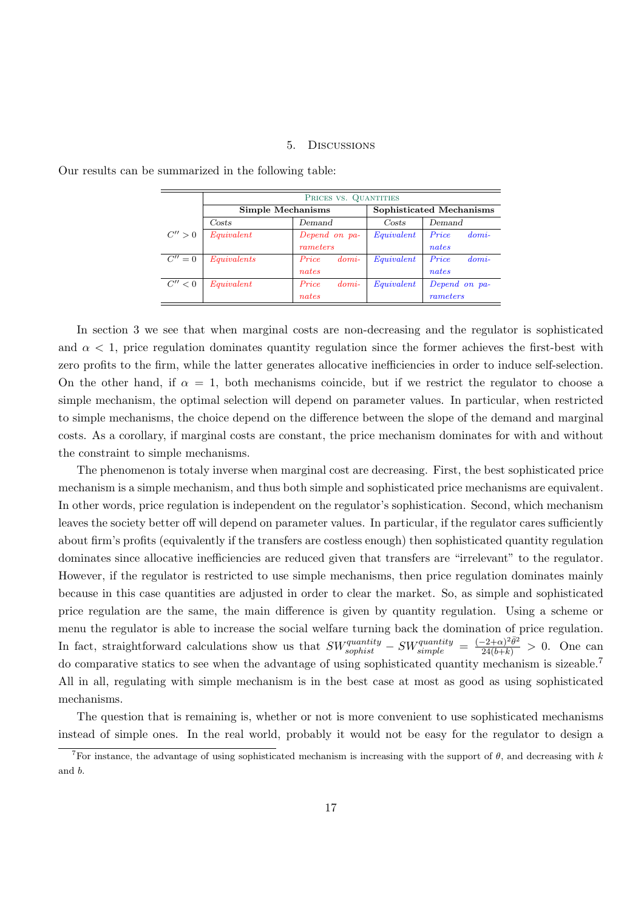#### 5. Discussions

|           | PRICES VS. QUANTITIES |                  |                          |                  |
|-----------|-----------------------|------------------|--------------------------|------------------|
|           | Simple Mechanisms     |                  | Sophisticated Mechanisms |                  |
|           | Costs                 | Demand           | Costs                    | Demand           |
| C'' > 0   | Equivalent            | Depend on pa-    | Equivalent               | Price<br>$domi-$ |
|           |                       | rameters         |                          | nates            |
| $C'' = 0$ | Equivalents           | Price<br>$domi-$ | Equivalent               | Price<br>$domi-$ |
|           |                       | nates            |                          | nates            |
| C'' < 0   | Equivalent            | Price<br>$domi-$ | Equivalent               | Depend on pa-    |
|           |                       | nates            |                          | rameters         |

Our results can be summarized in the following table:

In section 3 we see that when marginal costs are non-decreasing and the regulator is sophisticated and  $\alpha < 1$ , price regulation dominates quantity regulation since the former achieves the first-best with zero profits to the firm, while the latter generates allocative inefficiencies in order to induce self-selection. On the other hand, if  $\alpha = 1$ , both mechanisms coincide, but if we restrict the regulator to choose a simple mechanism, the optimal selection will depend on parameter values. In particular, when restricted to simple mechanisms, the choice depend on the difference between the slope of the demand and marginal costs. As a corollary, if marginal costs are constant, the price mechanism dominates for with and without the constraint to simple mechanisms.

The phenomenon is totaly inverse when marginal cost are decreasing. First, the best sophisticated price mechanism is a simple mechanism, and thus both simple and sophisticated price mechanisms are equivalent. In other words, price regulation is independent on the regulator's sophistication. Second, which mechanism leaves the society better off will depend on parameter values. In particular, if the regulator cares sufficiently about firm's profits (equivalently if the transfers are costless enough) then sophisticated quantity regulation dominates since allocative inefficiencies are reduced given that transfers are "irrelevant" to the regulator. However, if the regulator is restricted to use simple mechanisms, then price regulation dominates mainly because in this case quantities are adjusted in order to clear the market. So, as simple and sophisticated price regulation are the same, the main difference is given by quantity regulation. Using a scheme or menu the regulator is able to increase the social welfare turning back the domination of price regulation. In fact, straightforward calculations show us that  $SW_{sophist}^{quantity} - SW_{simple}^{quantity} = \frac{(-2+\alpha)^2 \bar{\theta}^2}{24(b+k)} > 0$ . One can do comparative statics to see when the advantage of using sophisticated quantity mechanism is sizeable.<sup>7</sup> All in all, regulating with simple mechanism is in the best case at most as good as using sophisticated mechanisms.

The question that is remaining is, whether or not is more convenient to use sophisticated mechanisms instead of simple ones. In the real world, probably it would not be easy for the regulator to design a

<sup>&</sup>lt;sup>7</sup>For instance, the advantage of using sophisticated mechanism is increasing with the support of  $\theta$ , and decreasing with k and b.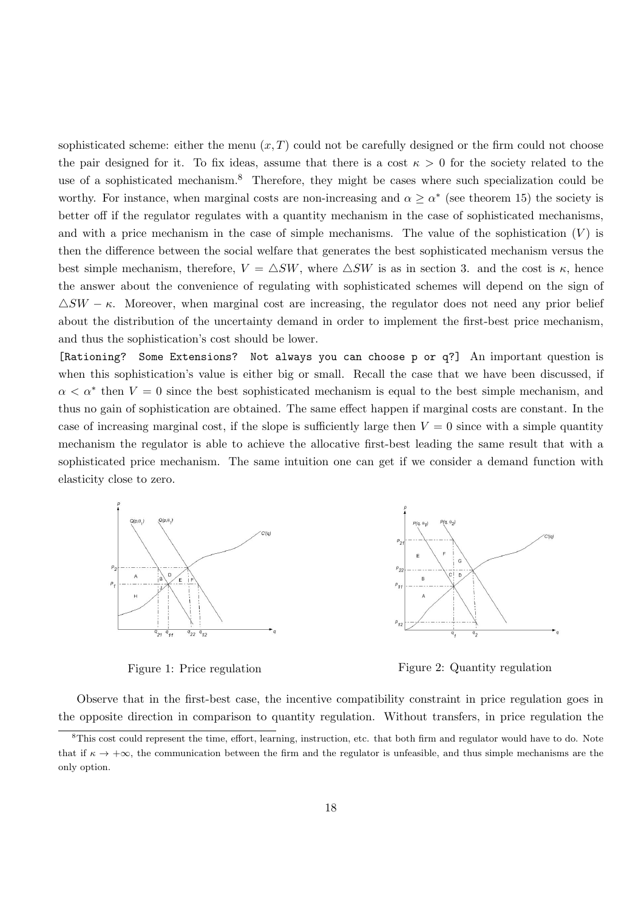sophisticated scheme: either the menu  $(x, T)$  could not be carefully designed or the firm could not choose the pair designed for it. To fix ideas, assume that there is a cost  $\kappa > 0$  for the society related to the use of a sophisticated mechanism.<sup>8</sup> Therefore, they might be cases where such specialization could be worthy. For instance, when marginal costs are non-increasing and  $\alpha \geq \alpha^*$  (see theorem 15) the society is better off if the regulator regulates with a quantity mechanism in the case of sophisticated mechanisms, and with a price mechanism in the case of simple mechanisms. The value of the sophistication  $(V)$  is then the difference between the social welfare that generates the best sophisticated mechanism versus the best simple mechanism, therefore,  $V = \Delta SW$ , where  $\Delta SW$  is as in section 3. and the cost is  $\kappa$ , hence the answer about the convenience of regulating with sophisticated schemes will depend on the sign of  $\triangle SW - \kappa$ . Moreover, when marginal cost are increasing, the regulator does not need any prior belief about the distribution of the uncertainty demand in order to implement the first-best price mechanism, and thus the sophistication's cost should be lower.

[Rationing? Some Extensions? Not always you can choose p or q?] An important question is when this sophistication's value is either big or small. Recall the case that we have been discussed, if  $\alpha < \alpha^*$  then  $V = 0$  since the best sophisticated mechanism is equal to the best simple mechanism, and thus no gain of sophistication are obtained. The same effect happen if marginal costs are constant. In the case of increasing marginal cost, if the slope is sufficiently large then  $V = 0$  since with a simple quantity mechanism the regulator is able to achieve the allocative first-best leading the same result that with a sophisticated price mechanism. The same intuition one can get if we consider a demand function with elasticity close to zero.



Figure 1: Price regulation Figure 2: Quantity regulation

Observe that in the first-best case, the incentive compatibility constraint in price regulation goes in the opposite direction in comparison to quantity regulation. Without transfers, in price regulation the

 ${}^{8}$ This cost could represent the time, effort, learning, instruction, etc. that both firm and regulator would have to do. Note that if  $\kappa \to +\infty$ , the communication between the firm and the regulator is unfeasible, and thus simple mechanisms are the only option.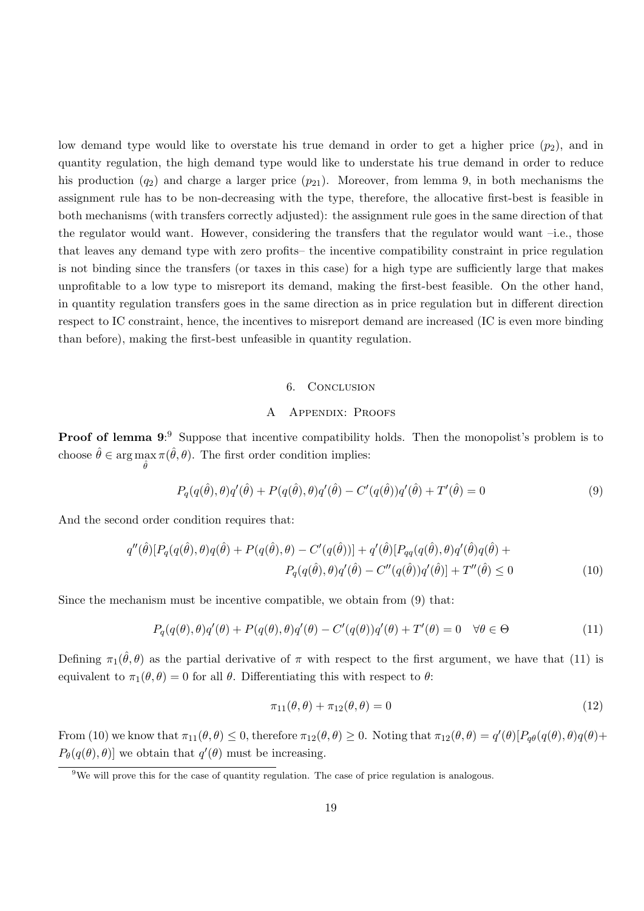low demand type would like to overstate his true demand in order to get a higher price  $(p_2)$ , and in quantity regulation, the high demand type would like to understate his true demand in order to reduce his production  $(q_2)$  and charge a larger price  $(p_{21})$ . Moreover, from lemma 9, in both mechanisms the assignment rule has to be non-decreasing with the type, therefore, the allocative first-best is feasible in both mechanisms (with transfers correctly adjusted): the assignment rule goes in the same direction of that the regulator would want. However, considering the transfers that the regulator would want –i.e., those that leaves any demand type with zero profits– the incentive compatibility constraint in price regulation is not binding since the transfers (or taxes in this case) for a high type are sufficiently large that makes unprofitable to a low type to misreport its demand, making the first-best feasible. On the other hand, in quantity regulation transfers goes in the same direction as in price regulation but in different direction respect to IC constraint, hence, the incentives to misreport demand are increased (IC is even more binding than before), making the first-best unfeasible in quantity regulation.

#### 6. Conclusion

### A Appendix: Proofs

**Proof of lemma 9:** Suppose that incentive compatibility holds. Then the monopolist's problem is to choose  $\hat{\theta} \in \arg\max$  $\hat{\theta}$  $\pi(\hat{\theta}, \theta)$ . The first order condition implies:

$$
P_q(q(\hat{\theta}), \theta)q'(\hat{\theta}) + P(q(\hat{\theta}), \theta)q'(\hat{\theta}) - C'(q(\hat{\theta}))q'(\hat{\theta}) + T'(\hat{\theta}) = 0
$$
\n(9)

And the second order condition requires that:

$$
q''(\hat{\theta})[P_q(q(\hat{\theta}), \theta)q(\hat{\theta}) + P(q(\hat{\theta}), \theta) - C'(q(\hat{\theta}))] + q'(\hat{\theta})[P_{qq}(q(\hat{\theta}), \theta)q'(\hat{\theta})q(\hat{\theta}) + P_q(q(\hat{\theta}), \theta)q'(\hat{\theta}) - C''(q(\hat{\theta}))q'(\hat{\theta})] + T''(\hat{\theta}) \le 0
$$
\n(10)

Since the mechanism must be incentive compatible, we obtain from (9) that:

$$
P_q(q(\theta), \theta)q'(\theta) + P(q(\theta), \theta)q'(\theta) - C'(q(\theta))q'(\theta) + T'(\theta) = 0 \quad \forall \theta \in \Theta
$$
\n(11)

Defining  $\pi_1(\hat{\theta}, \theta)$  as the partial derivative of  $\pi$  with respect to the first argument, we have that (11) is equivalent to  $\pi_1(\theta, \theta) = 0$  for all  $\theta$ . Differentiating this with respect to  $\theta$ :

$$
\pi_{11}(\theta,\theta) + \pi_{12}(\theta,\theta) = 0 \tag{12}
$$

From (10) we know that  $\pi_{11}(\theta, \theta) \leq 0$ , therefore  $\pi_{12}(\theta, \theta) \geq 0$ . Noting that  $\pi_{12}(\theta, \theta) = q'(\theta)[P_{q\theta}(q(\theta), \theta)q(\theta) +$  $P_{\theta}(q(\theta), \theta)$  we obtain that  $q'(\theta)$  must be increasing.

<sup>&</sup>lt;sup>9</sup>We will prove this for the case of quantity regulation. The case of price regulation is analogous.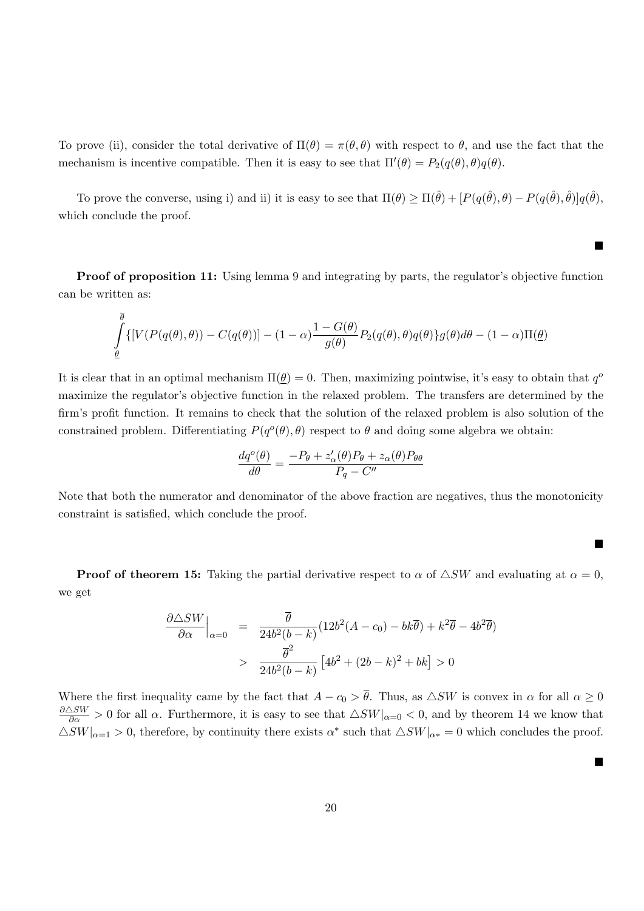To prove (ii), consider the total derivative of  $\Pi(\theta) = \pi(\theta, \theta)$  with respect to  $\theta$ , and use the fact that the mechanism is incentive compatible. Then it is easy to see that  $\Pi'(\theta) = P_2(q(\theta), \theta)q(\theta)$ .

To prove the converse, using i) and ii) it is easy to see that  $\Pi(\theta) \geq \Pi(\hat{\theta}) + [P(q(\hat{\theta}), \theta) - P(q(\hat{\theta}), \hat{\theta})]q(\hat{\theta}),$ which conclude the proof.

Proof of proposition 11: Using lemma 9 and integrating by parts, the regulator's objective function can be written as:

$$
\int_{\underline{\theta}}^{\overline{\theta}} \{ [V(P(q(\theta), \theta)) - C(q(\theta))] - (1 - \alpha) \frac{1 - G(\theta)}{g(\theta)} P_2(q(\theta), \theta) q(\theta) \} g(\theta) d\theta - (1 - \alpha) \Pi(\underline{\theta})
$$

It is clear that in an optimal mechanism  $\Pi(\underline{\theta}) = 0$ . Then, maximizing pointwise, it's easy to obtain that  $q^d$ maximize the regulator's objective function in the relaxed problem. The transfers are determined by the firm's profit function. It remains to check that the solution of the relaxed problem is also solution of the constrained problem. Differentiating  $P(q^o(\theta), \theta)$  respect to  $\theta$  and doing some algebra we obtain:

$$
\frac{dq^o(\theta)}{d\theta} = \frac{-P_{\theta} + z_{\alpha}'(\theta)P_{\theta} + z_{\alpha}(\theta)P_{\theta\theta}}{P_q - C''}
$$

Note that both the numerator and denominator of the above fraction are negatives, thus the monotonicity constraint is satisfied, which conclude the proof.

■

■

■

**Proof of theorem 15:** Taking the partial derivative respect to  $\alpha$  of  $\triangle SW$  and evaluating at  $\alpha = 0$ , we get

$$
\frac{\partial \triangle SW}{\partial \alpha}\Big|_{\alpha=0} = \frac{\overline{\theta}}{24b^2(b-k)}(12b^2(A-c_0) - bk\overline{\theta}) + k^2\overline{\theta} - 4b^2\overline{\theta})
$$

$$
> \frac{\overline{\theta}^2}{24b^2(b-k)}\left[4b^2 + (2b-k)^2 + bk\right] > 0
$$

Where the first inequality came by the fact that  $A - c_0 > \overline{\theta}$ . Thus, as  $\triangle SW$  is convex in  $\alpha$  for all  $\alpha \geq 0$  $\frac{\partial \Delta SW}{\partial \alpha} > 0$  for all  $\alpha$ . Furthermore, it is easy to see that  $\Delta SW|_{\alpha=0} < 0$ , and by theorem 14 we know that  $\triangle SW|_{\alpha=1} > 0$ , therefore, by continuity there exists  $\alpha^*$  such that  $\triangle SW|_{\alpha*} = 0$  which concludes the proof.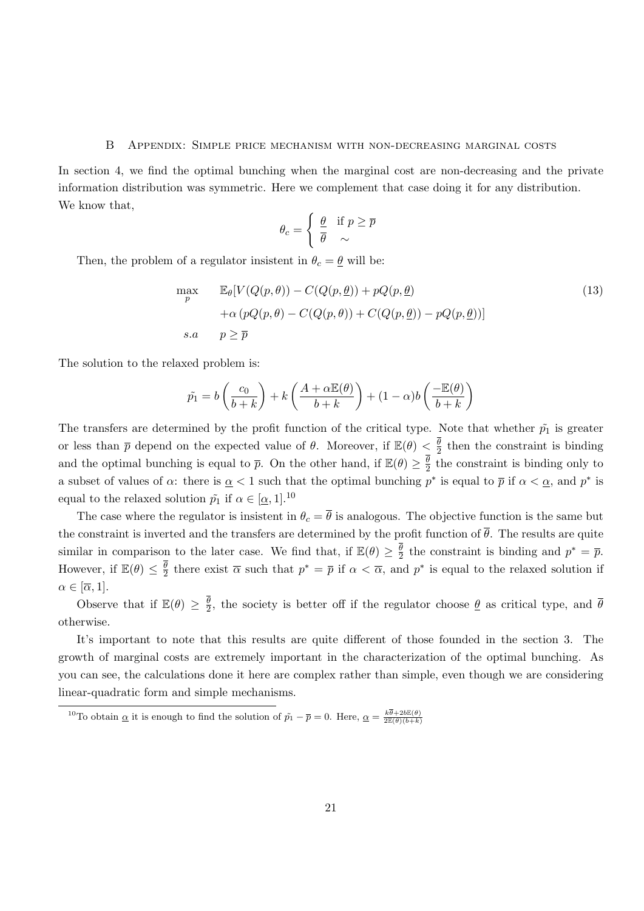#### B Appendix: Simple price mechanism with non-decreasing marginal costs

In section 4, we find the optimal bunching when the marginal cost are non-decreasing and the private information distribution was symmetric. Here we complement that case doing it for any distribution. We know that,

$$
\theta_c = \begin{cases} \frac{\theta}{\theta} & \text{if } p \ge \overline{p} \\ \overline{\theta} & \sim \end{cases}
$$

Then, the problem of a regulator insistent in  $\theta_c = \underline{\theta}$  will be:

$$
\max_{p} \qquad \mathbb{E}_{\theta}[V(Q(p,\theta)) - C(Q(p,\underline{\theta})) + pQ(p,\underline{\theta}) \n+ \alpha (pQ(p,\theta) - C(Q(p,\theta)) + C(Q(p,\underline{\theta})) - pQ(p,\underline{\theta}))]
$$
\n
$$
s.a. \qquad p \ge \overline{p}
$$
\n(13)

The solution to the relaxed problem is:

$$
\tilde{p_1} = b\left(\frac{c_0}{b+k}\right) + k\left(\frac{A+\alpha \mathbb{E}(\theta)}{b+k}\right) + (1-\alpha)b\left(\frac{-\mathbb{E}(\theta)}{b+k}\right)
$$

The transfers are determined by the profit function of the critical type. Note that whether  $\tilde{p}_1$  is greater or less than  $\bar{p}$  depend on the expected value of  $\theta$ . Moreover, if  $\mathbb{E}(\theta) < \frac{\bar{\theta}}{2}$  $\frac{\theta}{2}$  then the constraint is binding and the optimal bunching is equal to  $\bar{p}$ . On the other hand, if  $\mathbb{E}(\theta) \geq \frac{\theta}{2}$  $\frac{\theta}{2}$  the constraint is binding only to a subset of values of  $\alpha$ : there is  $\alpha < 1$  such that the optimal bunching  $p^*$  is equal to  $\overline{p}$  if  $\alpha < \alpha$ , and  $p^*$  is equal to the relaxed solution  $\tilde{p}_1$  if  $\alpha \in [\alpha, 1]$ .<sup>10</sup>

The case where the regulator is insistent in  $\theta_c = \overline{\theta}$  is analogous. The objective function is the same but the constraint is inverted and the transfers are determined by the profit function of  $\bar{\theta}$ . The results are quite similar in comparison to the later case. We find that, if  $\mathbb{E}(\theta) \geq \frac{\overline{\theta}}{2}$  $\frac{\theta}{2}$  the constraint is binding and  $p^* = \overline{p}$ . However, if  $\mathbb{E}(\theta) \leq \frac{\theta}{2}$  $\frac{\theta}{2}$  there exist  $\overline{\alpha}$  such that  $p^* = \overline{p}$  if  $\alpha < \overline{\alpha}$ , and  $p^*$  is equal to the relaxed solution if  $\alpha \in [\overline{\alpha}, 1].$ 

Observe that if  $\mathbb{E}(\theta) \geq \frac{\theta}{2}$  $\frac{\theta}{2}$ , the society is better off if the regulator choose  $\underline{\theta}$  as critical type, and  $\theta$ otherwise.

It's important to note that this results are quite different of those founded in the section 3. The growth of marginal costs are extremely important in the characterization of the optimal bunching. As you can see, the calculations done it here are complex rather than simple, even though we are considering linear-quadratic form and simple mechanisms.

<sup>&</sup>lt;sup>10</sup>To obtain  $\underline{\alpha}$  it is enough to find the solution of  $\tilde{p}_1 - \overline{p} = 0$ . Here,  $\underline{\alpha} = \frac{k\overline{\theta} + 2b\mathbb{E}(\theta)}{2\mathbb{E}(\theta)(b+k)}$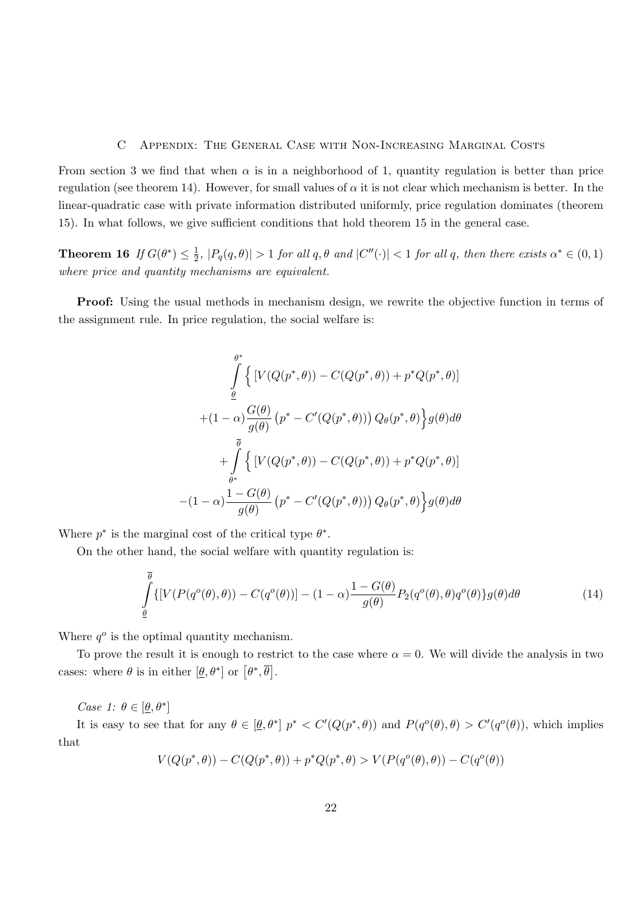#### C Appendix: The General Case with Non-Increasing Marginal Costs

From section 3 we find that when  $\alpha$  is in a neighborhood of 1, quantity regulation is better than price regulation (see theorem 14). However, for small values of  $\alpha$  it is not clear which mechanism is better. In the linear-quadratic case with private information distributed uniformly, price regulation dominates (theorem 15). In what follows, we give sufficient conditions that hold theorem 15 in the general case.

Theorem 16 If  $G(\theta^*) \leq \frac{1}{2}$  $\frac{1}{2}$ ,  $|P_q(q, \theta)| > 1$  for all  $q, \theta$  and  $|C''(\cdot)| < 1$  for all  $q$ , then there exists  $\alpha^* \in (0, 1)$ where price and quantity mechanisms are equivalent.

**Proof:** Using the usual methods in mechanism design, we rewrite the objective function in terms of the assignment rule. In price regulation, the social welfare is:

$$
\int_{\theta}^{\theta^*} \left\{ \left[ V(Q(p^*, \theta)) - C(Q(p^*, \theta)) + p^*Q(p^*, \theta) \right] \right\}
$$

$$
+ (1 - \alpha) \frac{G(\theta)}{g(\theta)} \left( p^* - C'(Q(p^*, \theta)) \right) Q_{\theta}(p^*, \theta) \left\} g(\theta) d\theta
$$

$$
+ \int_{\theta^*}^{\overline{\theta}} \left\{ \left[ V(Q(p^*, \theta)) - C(Q(p^*, \theta)) + p^*Q(p^*, \theta) \right] \right\}
$$

$$
- (1 - \alpha) \frac{1 - G(\theta)}{g(\theta)} \left( p^* - C'(Q(p^*, \theta)) \right) Q_{\theta}(p^*, \theta) \left\} g(\theta) d\theta
$$

Where  $p^*$  is the marginal cost of the critical type  $\theta^*$ .

On the other hand, the social welfare with quantity regulation is:

$$
\int_{\underline{\theta}}^{\overline{\theta}} \{ [V(P(q^o(\theta), \theta)) - C(q^o(\theta))] - (1 - \alpha) \frac{1 - G(\theta)}{g(\theta)} P_2(q^o(\theta), \theta) q^o(\theta) \} g(\theta) d\theta \tag{14}
$$

Where  $q^o$  is the optimal quantity mechanism.

To prove the result it is enough to restrict to the case where  $\alpha = 0$ . We will divide the analysis in two cases: where  $\theta$  is in either  $[\underline{\theta}, \theta^*]$  or  $[\theta^*, \overline{\theta}]$ .

Case 1:  $\theta \in [\underline{\theta}, \theta^*]$ 

It is easy to see that for any  $\theta \in [\theta, \theta^*]$   $p^* < C'(Q(p^*, \theta))$  and  $P(q^o(\theta), \theta) > C'(q^o(\theta))$ , which implies that

$$
V(Q(p^*, \theta)) - C(Q(p^*, \theta)) + p^*Q(p^*, \theta) > V(P(q^o(\theta), \theta)) - C(q^o(\theta))
$$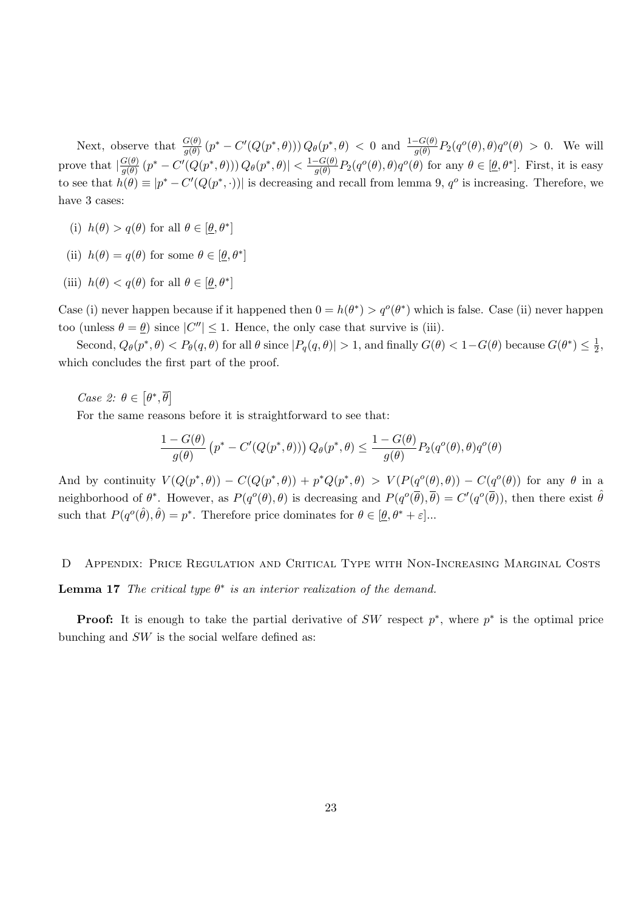Next, observe that  $\frac{G(\theta)}{g(\theta)}(p^*-C'(Q(p^*,\theta)))Q_{\theta}(p^*,\theta) < 0$  and  $\frac{1-G(\theta)}{g(\theta)}P_2(q^o(\theta),\theta)q^o(\theta) > 0$ . We will prove that  $\left|\frac{G(\theta)}{g(\theta)}\right|$  $\frac{G(\theta)}{g(\theta)}(p^*-C'(Q(p^*,\theta)))Q_{\theta}(p^*,\theta)| < \frac{1-G(\theta)}{g(\theta)}$  $\frac{-G(\theta)}{g(\theta)}P_2(q^o(\theta),\theta)q^o(\theta)$  for any  $\theta \in [\underline{\theta},\theta^*]$ . First, it is easy to see that  $h(\theta) \equiv |p^* - C'(Q(p^*, \cdot))|$  is decreasing and recall from lemma 9,  $q^o$  is increasing. Therefore, we have 3 cases:

- (i)  $h(\theta) > q(\theta)$  for all  $\theta \in [\underline{\theta}, \theta^*]$
- (ii)  $h(\theta) = q(\theta)$  for some  $\theta \in [\underline{\theta}, \theta^*]$
- (iii)  $h(\theta) < q(\theta)$  for all  $\theta \in [\underline{\theta}, \theta^*]$

Case (i) never happen because if it happened then  $0 = h(\theta^*) > q^o(\theta^*)$  which is false. Case (ii) never happen too (unless  $\theta = \underline{\theta}$ ) since  $|C''| \leq 1$ . Hence, the only case that survive is (iii).

Second,  $Q_{\theta}(p^*,\theta) < P_{\theta}(q,\theta)$  for all  $\theta$  since  $|P_q(q,\theta)| > 1$ , and finally  $G(\theta) < 1 - G(\theta)$  because  $G(\theta^*) \leq \frac{1}{2}$  $\frac{1}{2}$ , which concludes the first part of the proof.

Case 2:  $\theta \in [\theta^*, \overline{\theta}]$ 

For the same reasons before it is straightforward to see that:

$$
\frac{1 - G(\theta)}{g(\theta)} \left( p^* - C'(Q(p^*, \theta)) \right) Q_{\theta}(p^*, \theta) \le \frac{1 - G(\theta)}{g(\theta)} P_2(q^o(\theta), \theta) q^o(\theta)
$$

And by continuity  $V(Q(p^*,\theta)) - C(Q(p^*,\theta)) + p^*Q(p^*,\theta) > V(P(q^o(\theta),\theta)) - C(q^o(\theta))$  for any  $\theta$  in a neighborhood of  $\theta^*$ . However, as  $P(q^o(\theta), \theta)$  is decreasing and  $P(q^o(\overline{\theta}), \overline{\theta}) = C'(q^o(\overline{\theta}))$ , then there exist  $\hat{\theta}$ such that  $P(q^o(\hat{\theta}), \hat{\theta}) = p^*$ . Therefore price dominates for  $\theta \in [\underline{\theta}, \theta^* + \varepsilon]$ ...

# D Appendix: Price Regulation and Critical Type with Non-Increasing Marginal Costs

**Lemma 17** The critical type  $\theta^*$  is an interior realization of the demand.

**Proof:** It is enough to take the partial derivative of SW respect  $p^*$ , where  $p^*$  is the optimal price bunching and  $SW$  is the social welfare defined as: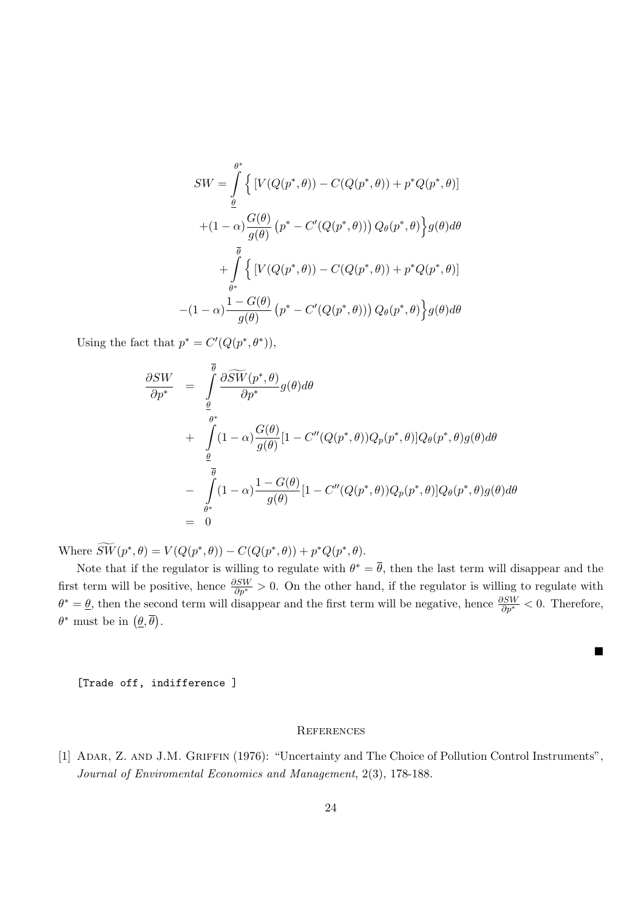$$
SW = \int_{\theta}^{\theta^*} \left\{ \left[ V(Q(p^*, \theta)) - C(Q(p^*, \theta)) + p^*Q(p^*, \theta) \right] \right\}
$$

$$
+ (1 - \alpha) \frac{G(\theta)}{g(\theta)} \left( p^* - C'(Q(p^*, \theta)) \right) Q_{\theta}(p^*, \theta) \left\} g(\theta) d\theta
$$

$$
+ \int_{\theta^*}^{\overline{\theta}} \left\{ \left[ V(Q(p^*, \theta)) - C(Q(p^*, \theta)) + p^*Q(p^*, \theta) \right] \right\}
$$

$$
- (1 - \alpha) \frac{1 - G(\theta)}{g(\theta)} \left( p^* - C'(Q(p^*, \theta)) \right) Q_{\theta}(p^*, \theta) \left\} g(\theta) d\theta
$$

Using the fact that  $p^* = C'(Q(p^*, \theta^*)),$ 

$$
\frac{\partial SW}{\partial p^*} = \int_{\theta}^{\overline{\theta}} \frac{\partial \widetilde{SW}(p^*, \theta)}{\partial p^*} g(\theta) d\theta \n+ \int_{\theta}^{\theta^*} (1 - \alpha) \frac{G(\theta)}{g(\theta)} [1 - C''(Q(p^*, \theta))Q_p(p^*, \theta)]Q_{\theta}(p^*, \theta)g(\theta) d\theta \n- \int_{\theta^*}^{\overline{\theta}} (1 - \alpha) \frac{1 - G(\theta)}{g(\theta)} [1 - C''(Q(p^*, \theta))Q_p(p^*, \theta)]Q_{\theta}(p^*, \theta)g(\theta) d\theta \n= 0
$$

Where  $\widetilde{SW}(p^*, \theta) = V(Q(p^*, \theta)) - C(Q(p^*, \theta)) + p^*Q(p^*, \theta).$ 

Note that if the regulator is willing to regulate with  $\theta^* = \overline{\theta}$ , then the last term will disappear and the first term will be positive, hence  $\frac{\partial SW}{\partial p^*} > 0$ . On the other hand, if the regulator is willing to regulate with  $\theta^* = \underline{\theta}$ , then the second term will disappear and the first term will be negative, hence  $\frac{\partial SW}{\partial p^*} < 0$ . Therefore,  $\theta^*$  must be in  $(\underline{\theta}, \overline{\theta})$ .

■

[Trade off, indifference ]

#### **REFERENCES**

[1] ADAR, Z. AND J.M. GRIFFIN (1976): "Uncertainty and The Choice of Pollution Control Instruments", Journal of Enviromental Economics and Management, 2(3), 178-188.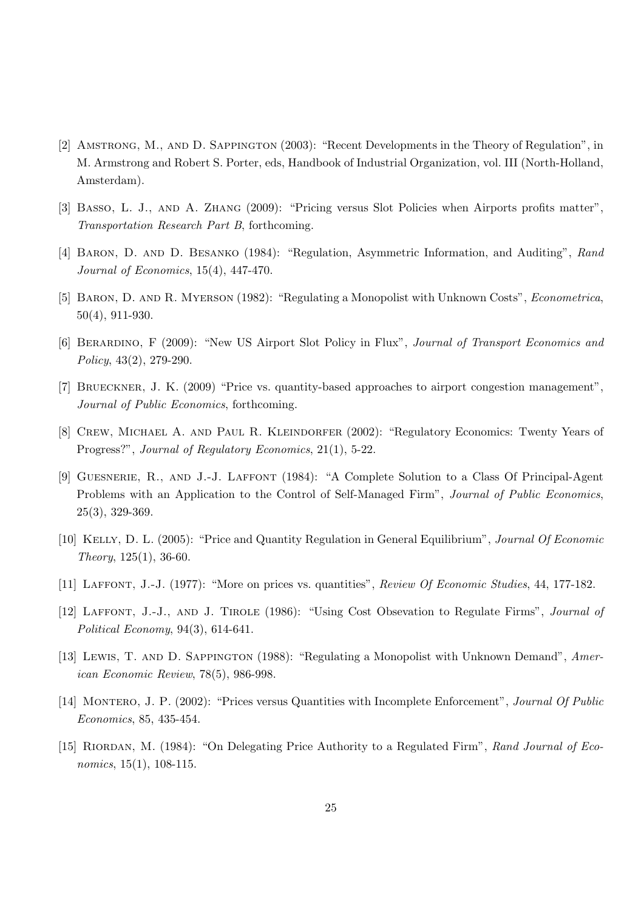- [2] Amstrong, M., and D. Sappington (2003): "Recent Developments in the Theory of Regulation", in M. Armstrong and Robert S. Porter, eds, Handbook of Industrial Organization, vol. III (North-Holland, Amsterdam).
- [3] Basso, L. J., and A. Zhang (2009): "Pricing versus Slot Policies when Airports profits matter", Transportation Research Part B, forthcoming.
- [4] Baron, D. and D. Besanko (1984): "Regulation, Asymmetric Information, and Auditing", Rand Journal of Economics, 15(4), 447-470.
- [5] BARON, D. AND R. MYERSON (1982): "Regulating a Monopolist with Unknown Costs", *Econometrica*, 50(4), 911-930.
- [6] Berardino, F (2009): "New US Airport Slot Policy in Flux", Journal of Transport Economics and Policy, 43(2), 279-290.
- [7] BRUECKNER, J. K. (2009) "Price vs. quantity-based approaches to airport congestion management", Journal of Public Economics, forthcoming.
- [8] CREW, MICHAEL A. AND PAUL R. KLEINDORFER (2002): "Regulatory Economics: Twenty Years of Progress?", Journal of Regulatory Economics, 21(1), 5-22.
- [9] GUESNERIE, R., AND J.-J. LAFFONT (1984): "A Complete Solution to a Class Of Principal-Agent Problems with an Application to the Control of Self-Managed Firm", Journal of Public Economics, 25(3), 329-369.
- [10] Kelly, D. L. (2005): "Price and Quantity Regulation in General Equilibrium", Journal Of Economic Theory, 125(1), 36-60.
- [11] LAFFONT, J.-J. (1977): "More on prices vs. quantities", Review Of Economic Studies, 44, 177-182.
- [12] Laffont, J.-J., and J. Tirole (1986): "Using Cost Obsevation to Regulate Firms", Journal of Political Economy, 94(3), 614-641.
- [13] Lewis, T. and D. Sappington (1988): "Regulating a Monopolist with Unknown Demand", American Economic Review, 78(5), 986-998.
- [14] MONTERO, J. P. (2002): "Prices versus Quantities with Incomplete Enforcement", Journal Of Public Economics, 85, 435-454.
- [15] RIORDAN, M. (1984): "On Delegating Price Authority to a Regulated Firm", Rand Journal of Economics, 15(1), 108-115.